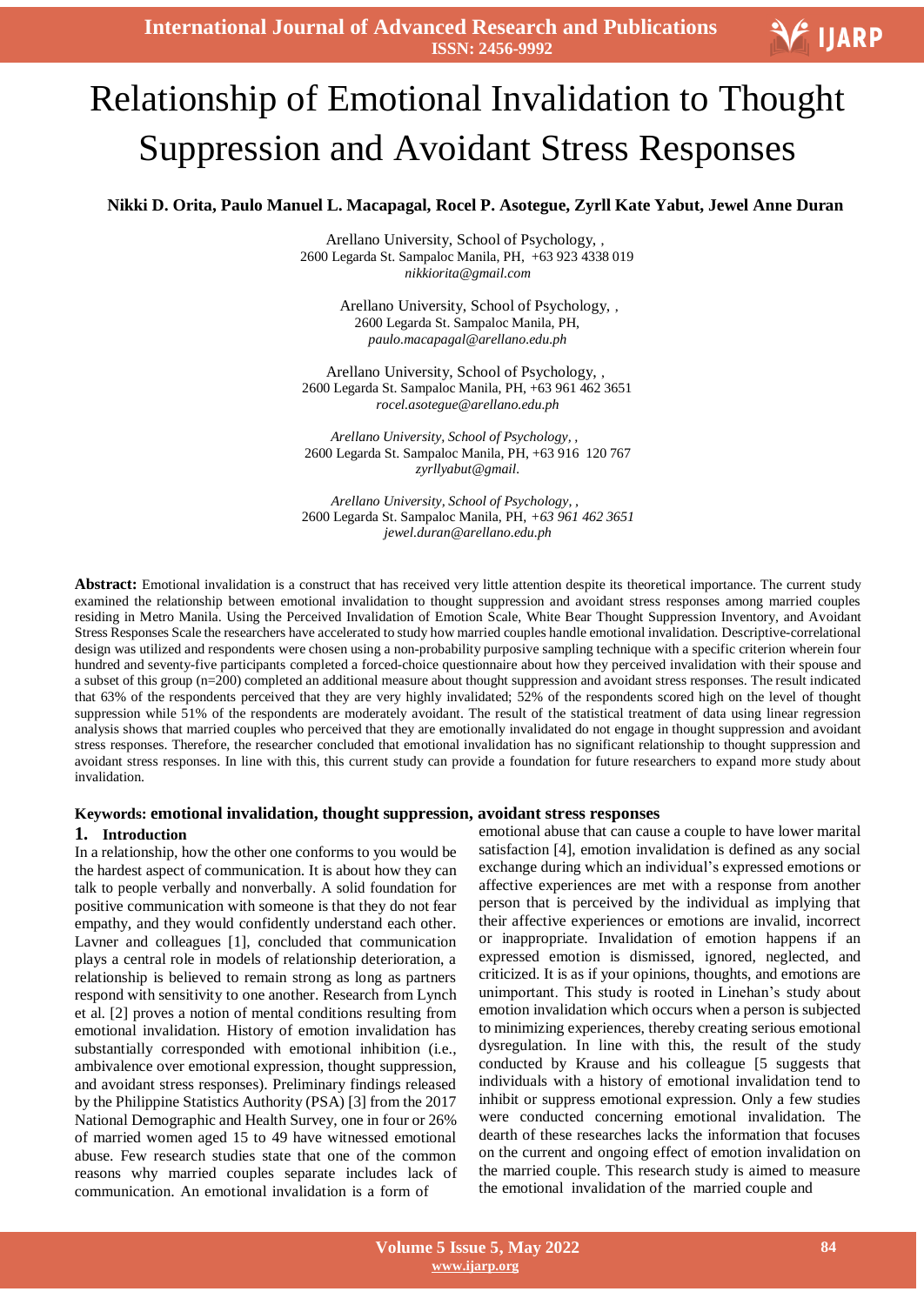**International Journal of Advanced Research and Publications ISSN: 2456-9992**



# Ξ Relationship of Emotional Invalidation to Thought Suppression and Avoidant Stress Responses

### **Nikki D. Orita, Paulo Manuel L. Macapagal, Rocel P. Asotegue, Zyrll Kate Yabut, Jewel Anne Duran**

Arellano University, School of Psychology, , 2600 Legarda St. Sampaloc Manila, PH, +63 923 4338 019 *[nikkiorita@gmail.com](mailto:nikkiorita@gmail.com)*

> Arellano University, School of Psychology, , 2600 Legarda St. Sampaloc Manila, PH, *[paulo.macapagal@arellano.edu.ph](mailto:paulo.macapagal@arellano.edu.ph)*

Arellano University, School of Psychology, , 2600 Legarda St. Sampaloc Manila, PH, +63 961 462 3651 *[rocel.asotegue@arellano.edu.ph](mailto:rocel.asotegue@arellano.edu.ph)*

*Arellano University, School of Psychology, ,* 2600 Legarda St. Sampaloc Manila, PH, +63 916 120 767 *zyrllyabut@gmail.*

*Arellano University, School of Psychology, ,* 2600 Legarda St. Sampaloc Manila, PH, *+63 961 462 3651 [jewel.duran@arellano.edu.ph](mailto:jewel.duran@arellano.edu.ph)*

Abstract: Emotional invalidation is a construct that has received very little attention despite its theoretical importance. The current study examined the relationship between emotional invalidation to thought suppression and avoidant stress responses among married couples residing in Metro Manila. Using the Perceived Invalidation of Emotion Scale, White Bear Thought Suppression Inventory, and Avoidant Stress Responses Scale the researchers have accelerated to study how married couples handle emotional invalidation. Descriptive-correlational design was utilized and respondents were chosen using a non-probability purposive sampling technique with a specific criterion wherein four hundred and seventy-five participants completed a forced-choice questionnaire about how they perceived invalidation with their spouse and a subset of this group (n=200) completed an additional measure about thought suppression and avoidant stress responses. The result indicated that 63% of the respondents perceived that they are very highly invalidated; 52% of the respondents scored high on the level of thought suppression while 51% of the respondents are moderately avoidant. The result of the statistical treatment of data using linear regression analysis shows that married couples who perceived that they are emotionally invalidated do not engage in thought suppression and avoidant stress responses. Therefore, the researcher concluded that emotional invalidation has no significant relationship to thought suppression and avoidant stress responses. In line with this, this current study can provide a foundation for future researchers to expand more study about invalidation.

#### **Keywords: emotional invalidation, thought suppression, avoidant stress responses**

#### **1. Introduction**

In a relationship, how the other one conforms to you would be the hardest aspect of communication. It is about how they can talk to people verbally and nonverbally. A solid foundation for positive communication with someone is that they do not fear empathy, and they would confidently understand each other. Lavner and colleagues [1], concluded that communication plays a central role in models of relationship deterioration, a relationship is believed to remain strong as long as partners respond with sensitivity to one another. Research from Lynch et al. [2] proves a notion of mental conditions resulting from emotional invalidation. History of emotion invalidation has substantially corresponded with emotional inhibition (i.e., ambivalence over emotional expression, thought suppression, and avoidant stress responses). Preliminary findings released by the Philippine Statistics Authority (PSA) [3] from the 2017 National Demographic and Health Survey, one in four or 26% of married women aged 15 to 49 have witnessed emotional abuse. Few research studies state that one of the common reasons why married couples separate includes lack of communication. An emotional invalidation is a form of

emotional abuse that can cause a couple to have lower marital satisfaction [4], emotion invalidation is defined as any social exchange during which an individual's expressed emotions or affective experiences are met with a response from another person that is perceived by the individual as implying that their affective experiences or emotions are invalid, incorrect or inappropriate. Invalidation of emotion happens if an expressed emotion is dismissed, ignored, neglected, and criticized. It is as if your opinions, thoughts, and emotions are unimportant. This study is rooted in Linehan"s study about emotion invalidation which occurs when a person is subjected to minimizing experiences, thereby creating serious emotional dysregulation. In line with this, the result of the study conducted by Krause and his colleague [5 suggests that individuals with a history of emotional invalidation tend to inhibit or suppress emotional expression. Only a few studies were conducted concerning emotional invalidation. The dearth of these researches lacks the information that focuses on the current and ongoing effect of emotion invalidation on the married couple. This research study is aimed to measure the emotional invalidation of the married couple and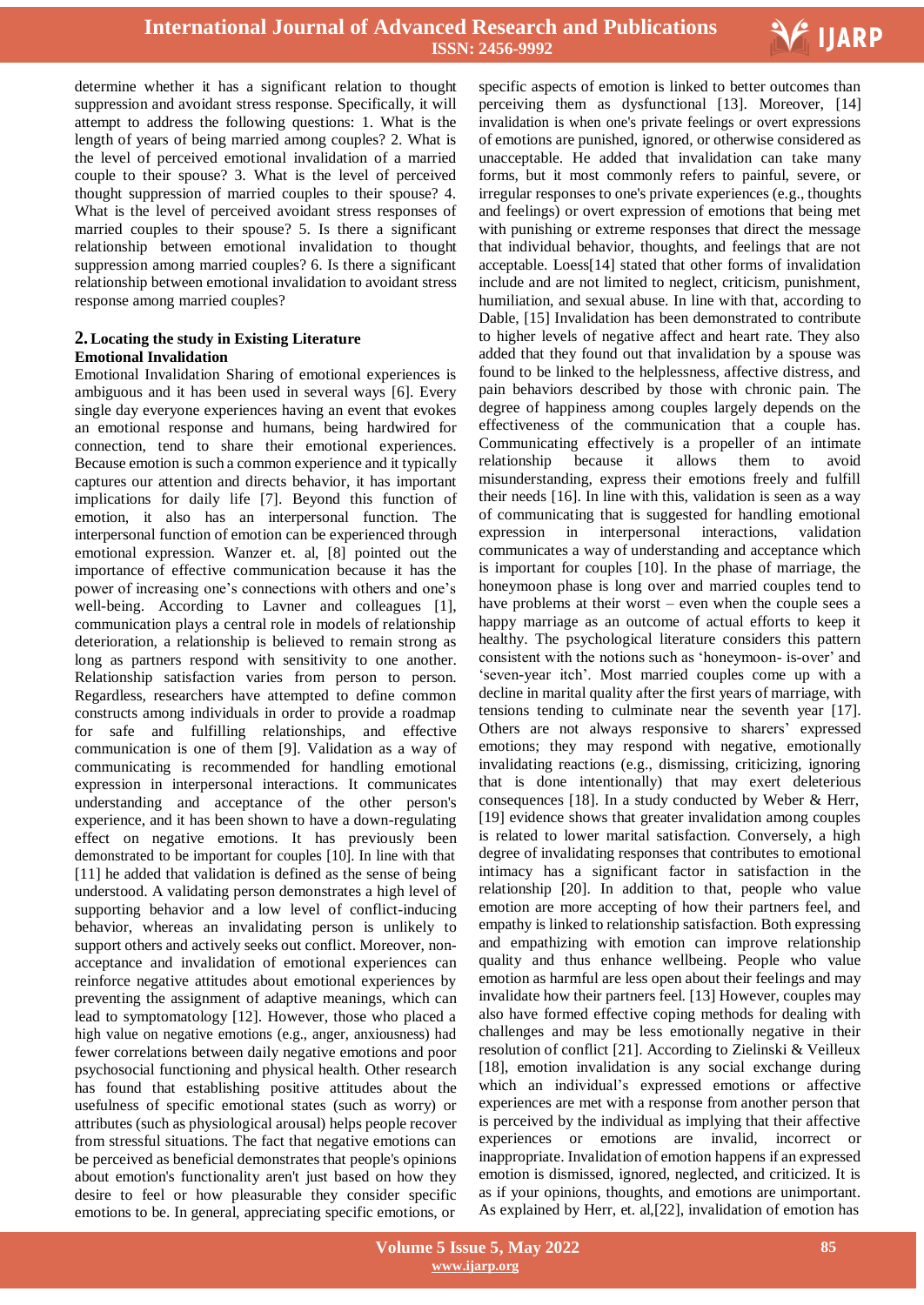

determine whether it has a significant relation to thought suppression and avoidant stress response. Specifically, it will attempt to address the following questions: 1. What is the length of years of being married among couples? 2. What is the level of perceived emotional invalidation of a married couple to their spouse? 3. What is the level of perceived thought suppression of married couples to their spouse? 4. What is the level of perceived avoidant stress responses of married couples to their spouse? 5. Is there a significant relationship between emotional invalidation to thought suppression among married couples? 6. Is there a significant relationship between emotional invalidation to avoidant stress response among married couples?

#### **2.Locating the study in Existing Literature Emotional Invalidation**

Emotional Invalidation Sharing of emotional experiences is ambiguous and it has been used in several ways [6]. Every single day everyone experiences having an event that evokes an emotional response and humans, being hardwired for connection, tend to share their emotional experiences. Because emotion is such a common experience and it typically captures our attention and directs behavior, it has important implications for daily life [7]. Beyond this function of emotion, it also has an interpersonal function. The interpersonal function of emotion can be experienced through emotional expression. Wanzer et. al, [8] pointed out the importance of effective communication because it has the power of increasing one"s connections with others and one"s well-being. According to Lavner and colleagues [1], communication plays a central role in models of relationship deterioration, a relationship is believed to remain strong as long as partners respond with sensitivity to one another. Relationship satisfaction varies from person to person. Regardless, researchers have attempted to define common constructs among individuals in order to provide a roadmap for safe and fulfilling relationships, and effective communication is one of them [9]. Validation as a way of communicating is recommended for handling emotional expression in interpersonal interactions. It communicates understanding and acceptance of the other person's experience, and it has been shown to have a down-regulating effect on negative emotions. It has previously been demonstrated to be important for couples [10]. In line with that [11] he added that validation is defined as the sense of being understood. A validating person demonstrates a high level of supporting behavior and a low level of conflict-inducing behavior, whereas an invalidating person is unlikely to support others and actively seeks out conflict. Moreover, nonacceptance and invalidation of emotional experiences can reinforce negative attitudes about emotional experiences by preventing the assignment of adaptive meanings, which can lead to symptomatology [12]. However, those who placed a high value on negative emotions (e.g., anger, anxiousness) had fewer correlations between daily negative emotions and poor psychosocial functioning and physical health. Other research has found that establishing positive attitudes about the usefulness of specific emotional states (such as worry) or attributes (such as physiological arousal) helps people recover from stressful situations. The fact that negative emotions can be perceived as beneficial demonstrates that people's opinions about emotion's functionality aren't just based on how they desire to feel or how pleasurable they consider specific emotions to be. In general, appreciating specific emotions, or

specific aspects of emotion is linked to better outcomes than perceiving them as dysfunctional [13]. Moreover, [14] invalidation is when one's private feelings or overt expressions of emotions are punished, ignored, or otherwise considered as unacceptable. He added that invalidation can take many forms, but it most commonly refers to painful, severe, or irregular responses to one's private experiences (e.g., thoughts and feelings) or overt expression of emotions that being met with punishing or extreme responses that direct the message that individual behavior, thoughts, and feelings that are not acceptable. Loess[14] stated that other forms of invalidation include and are not limited to neglect, criticism, punishment, humiliation, and sexual abuse. In line with that, according to Dable, [15] Invalidation has been demonstrated to contribute to higher levels of negative affect and heart rate. They also added that they found out that invalidation by a spouse was found to be linked to the helplessness, affective distress, and pain behaviors described by those with chronic pain. The degree of happiness among couples largely depends on the effectiveness of the communication that a couple has. Communicating effectively is a propeller of an intimate relationship because it allows them to avoid misunderstanding, express their emotions freely and fulfill their needs [16]. In line with this, validation is seen as a way of communicating that is suggested for handling emotional expression in interpersonal interactions, validation communicates a way of understanding and acceptance which is important for couples [10]. In the phase of marriage, the honeymoon phase is long over and married couples tend to have problems at their worst – even when the couple sees a happy marriage as an outcome of actual efforts to keep it healthy. The psychological literature considers this pattern consistent with the notions such as "honeymoon- is-over" and "seven-year itch". Most married couples come up with a decline in marital quality after the first years of marriage, with tensions tending to culminate near the seventh year [17]. Others are not always responsive to sharers' expressed emotions; they may respond with negative, emotionally invalidating reactions (e.g., dismissing, criticizing, ignoring that is done intentionally) that may exert deleterious consequences [18]. In a study conducted by Weber & Herr, [19] evidence shows that greater invalidation among couples is related to lower marital satisfaction. Conversely, a high degree of invalidating responses that contributes to emotional intimacy has a significant factor in satisfaction in the relationship [20]. In addition to that, people who value emotion are more accepting of how their partners feel, and empathy is linked to relationship satisfaction. Both expressing and empathizing with emotion can improve relationship quality and thus enhance wellbeing. People who value emotion as harmful are less open about their feelings and may invalidate how their partners feel. [13] However, couples may also have formed effective coping methods for dealing with challenges and may be less emotionally negative in their resolution of conflict [21]. According to Zielinski & Veilleux [18], emotion invalidation is any social exchange during which an individual"s expressed emotions or affective experiences are met with a response from another person that is perceived by the individual as implying that their affective experiences or emotions are invalid, incorrect or inappropriate. Invalidation of emotion happens if an expressed emotion is dismissed, ignored, neglected, and criticized. It is as if your opinions, thoughts, and emotions are unimportant. As explained by Herr, et. al,[22], invalidation of emotion has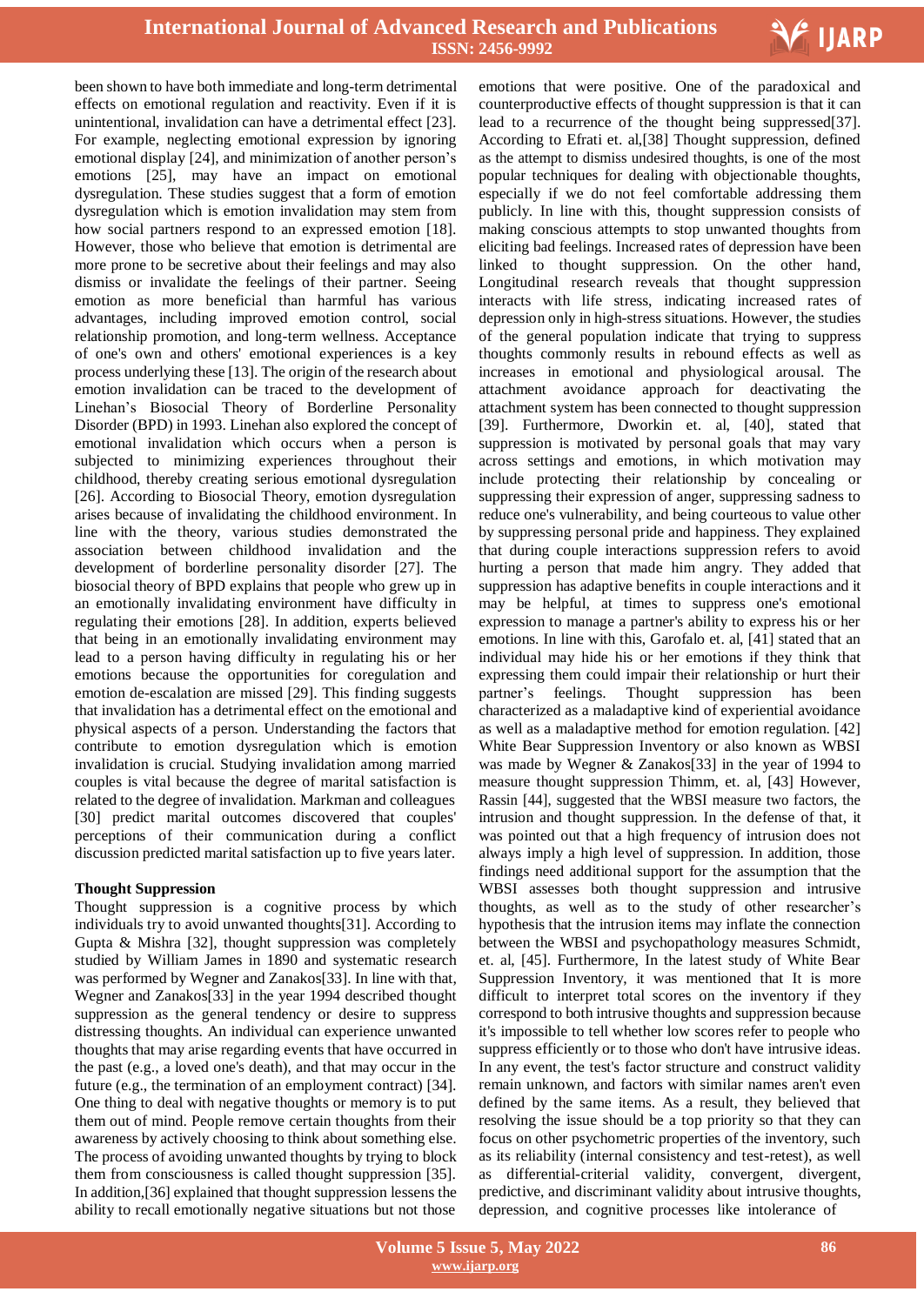

been shown to have both immediate and long-term detrimental effects on emotional regulation and reactivity. Even if it is unintentional, invalidation can have a detrimental effect [23]. For example, neglecting emotional expression by ignoring emotional display [24], and minimization of another person's emotions [25], may have an impact on emotional dysregulation. These studies suggest that a form of emotion dysregulation which is emotion invalidation may stem from how social partners respond to an expressed emotion [18]. However, those who believe that emotion is detrimental are more prone to be secretive about their feelings and may also dismiss or invalidate the feelings of their partner. Seeing emotion as more beneficial than harmful has various advantages, including improved emotion control, social relationship promotion, and long-term wellness. Acceptance of one's own and others' emotional experiences is a key process underlying these [13]. The origin of the research about emotion invalidation can be traced to the development of Linehan"s Biosocial Theory of Borderline Personality Disorder (BPD) in 1993. Linehan also explored the concept of emotional invalidation which occurs when a person is subjected to minimizing experiences throughout their childhood, thereby creating serious emotional dysregulation [26]. According to Biosocial Theory, emotion dysregulation arises because of invalidating the childhood environment. In line with the theory, various studies demonstrated the association between childhood invalidation and the development of borderline personality disorder [27]. The biosocial theory of BPD explains that people who grew up in an emotionally invalidating environment have difficulty in regulating their emotions [28]. In addition, experts believed that being in an emotionally invalidating environment may lead to a person having difficulty in regulating his or her emotions because the opportunities for coregulation and emotion de-escalation are missed [29]. This finding suggests that invalidation has a detrimental effect on the emotional and physical aspects of a person. Understanding the factors that contribute to emotion dysregulation which is emotion invalidation is crucial. Studying invalidation among married couples is vital because the degree of marital satisfaction is related to the degree of invalidation. Markman and colleagues [30] predict marital outcomes discovered that couples' perceptions of their communication during a conflict discussion predicted marital satisfaction up to five years later.

### **Thought Suppression**

Thought suppression is a cognitive process by which individuals try to avoid unwanted thoughts[31]. According to Gupta & Mishra [32], thought suppression was completely studied by William James in 1890 and systematic research was performed by Wegner and Zanakos[33]. In line with that, Wegner and Zanakos[33] in the year 1994 described thought suppression as the general tendency or desire to suppress distressing thoughts. An individual can experience unwanted thoughts that may arise regarding events that have occurred in the past (e.g., a loved one's death), and that may occur in the future (e.g., the termination of an employment contract) [34]. One thing to deal with negative thoughts or memory is to put them out of mind. People remove certain thoughts from their awareness by actively choosing to think about something else. The process of avoiding unwanted thoughts by trying to block them from consciousness is called thought suppression [35]. In addition,[36] explained that thought suppression lessens the ability to recall emotionally negative situations but not those

 emotions that were positive. One of the paradoxical and counterproductive effects of thought suppression is that it can lead to a recurrence of the thought being suppressed[37]. According to Efrati et. al,[38] Thought suppression, defined as the attempt to dismiss undesired thoughts, is one of the most popular techniques for dealing with objectionable thoughts, especially if we do not feel comfortable addressing them publicly. In line with this, thought suppression consists of making conscious attempts to stop unwanted thoughts from eliciting bad feelings. Increased rates of depression have been linked to thought suppression. On the other hand, Longitudinal research reveals that thought suppression interacts with life stress, indicating increased rates of depression only in high-stress situations. However, the studies of the general population indicate that trying to suppress thoughts commonly results in rebound effects as well as increases in emotional and physiological arousal. The attachment avoidance approach for deactivating the attachment system has been connected to thought suppression [39]. Furthermore, Dworkin et. al, [40], stated that suppression is motivated by personal goals that may vary across settings and emotions, in which motivation may include protecting their relationship by concealing or suppressing their expression of anger, suppressing sadness to reduce one's vulnerability, and being courteous to value other by suppressing personal pride and happiness. They explained that during couple interactions suppression refers to avoid hurting a person that made him angry. They added that suppression has adaptive benefits in couple interactions and it may be helpful, at times to suppress one's emotional expression to manage a partner's ability to express his or her emotions. In line with this, Garofalo et. al, [41] stated that an individual may hide his or her emotions if they think that expressing them could impair their relationship or hurt their partner"s feelings. Thought suppression has been characterized as a maladaptive kind of experiential avoidance as well as a maladaptive method for emotion regulation. [42] White Bear Suppression Inventory or also known as WBSI was made by Wegner & Zanakos[33] in the year of 1994 to measure thought suppression Thimm, et. al, [43] However, Rassin [44], suggested that the WBSI measure two factors, the intrusion and thought suppression. In the defense of that, it was pointed out that a high frequency of intrusion does not always imply a high level of suppression. In addition, those findings need additional support for the assumption that the WBSI assesses both thought suppression and intrusive thoughts, as well as to the study of other researcher"s hypothesis that the intrusion items may inflate the connection between the WBSI and psychopathology measures Schmidt, et. al, [45]. Furthermore, In the latest study of White Bear Suppression Inventory, it was mentioned that It is more difficult to interpret total scores on the inventory if they correspond to both intrusive thoughts and suppression because it's impossible to tell whether low scores refer to people who suppress efficiently or to those who don't have intrusive ideas. In any event, the test's factor structure and construct validity remain unknown, and factors with similar names aren't even defined by the same items. As a result, they believed that resolving the issue should be a top priority so that they can focus on other psychometric properties of the inventory, such as its reliability (internal consistency and test-retest), as well as differential-criterial validity, convergent, divergent, predictive, and discriminant validity about intrusive thoughts, depression, and cognitive processes like intolerance of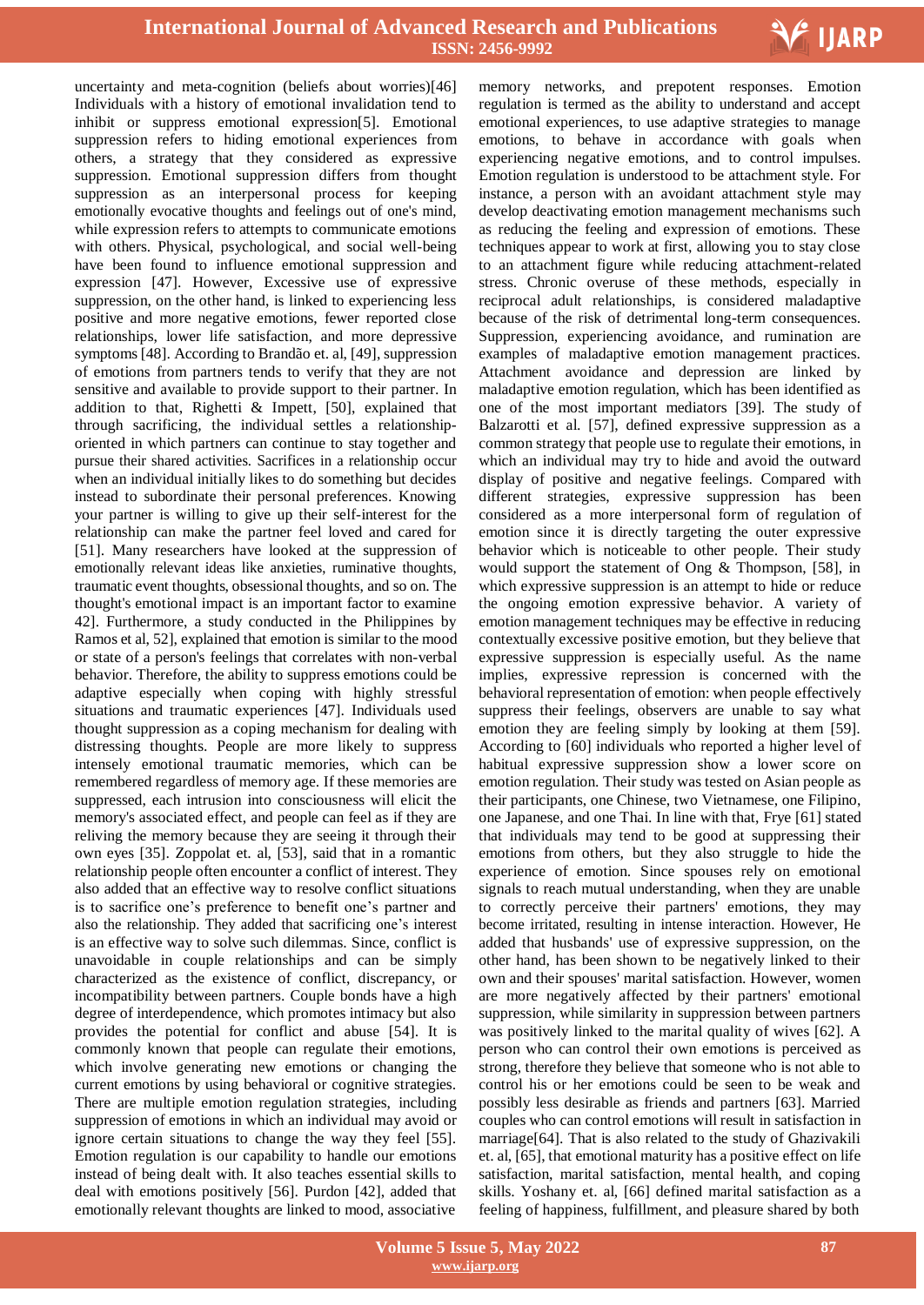

uncertainty and meta-cognition (beliefs about worries)[46] Individuals with a history of emotional invalidation tend to inhibit or suppress emotional expression[5]. Emotional suppression refers to hiding emotional experiences from others, a strategy that they considered as expressive suppression. Emotional suppression differs from thought suppression as an interpersonal process for keeping emotionally evocative thoughts and feelings out of one's mind, while expression refers to attempts to communicate emotions with others. Physical, psychological, and social well-being have been found to influence emotional suppression and expression [47]. However, Excessive use of expressive suppression, on the other hand, is linked to experiencing less positive and more negative emotions, fewer reported close relationships, lower life satisfaction, and more depressive symptoms[48]. According to Brandão et. al, [49], suppression of emotions from partners tends to verify that they are not sensitive and available to provide support to their partner. In addition to that, Righetti & Impett, [50], explained that through sacrificing, the individual settles a relationshiporiented in which partners can continue to stay together and pursue their shared activities. Sacrifices in a relationship occur when an individual initially likes to do something but decides instead to subordinate their personal preferences. Knowing your partner is willing to give up their self-interest for the relationship can make the partner feel loved and cared for [51]. Many researchers have looked at the suppression of emotionally relevant ideas like anxieties, ruminative thoughts, traumatic event thoughts, obsessional thoughts, and so on. The thought's emotional impact is an important factor to examine 42]. Furthermore, a study conducted in the Philippines by Ramos et al, 52], explained that emotion is similar to the mood or state of a person's feelings that correlates with non-verbal behavior. Therefore, the ability to suppress emotions could be adaptive especially when coping with highly stressful situations and traumatic experiences [47]. Individuals used thought suppression as a coping mechanism for dealing with distressing thoughts. People are more likely to suppress intensely emotional traumatic memories, which can be remembered regardless of memory age. If these memories are suppressed, each intrusion into consciousness will elicit the memory's associated effect, and people can feel as if they are reliving the memory because they are seeing it through their own eyes [35]. Zoppolat et. al, [53], said that in a romantic relationship people often encounter a conflict of interest. They also added that an effective way to resolve conflict situations is to sacrifice one"s preference to benefit one"s partner and also the relationship. They added that sacrificing one"s interest is an effective way to solve such dilemmas. Since, conflict is unavoidable in couple relationships and can be simply characterized as the existence of conflict, discrepancy, or incompatibility between partners. Couple bonds have a high degree of interdependence, which promotes intimacy but also provides the potential for conflict and abuse [54]. It is commonly known that people can regulate their emotions, which involve generating new emotions or changing the current emotions by using behavioral or cognitive strategies. There are multiple emotion regulation strategies, including suppression of emotions in which an individual may avoid or ignore certain situations to change the way they feel [55]. Emotion regulation is our capability to handle our emotions instead of being dealt with. It also teaches essential skills to deal with emotions positively [56]. Purdon [42], added that emotionally relevant thoughts are linked to mood, associative

 memory networks, and prepotent responses. Emotion regulation is termed as the ability to understand and accept emotional experiences, to use adaptive strategies to manage emotions, to behave in accordance with goals when experiencing negative emotions, and to control impulses. Emotion regulation is understood to be attachment style. For instance, a person with an avoidant attachment style may develop deactivating emotion management mechanisms such as reducing the feeling and expression of emotions. These techniques appear to work at first, allowing you to stay close to an attachment figure while reducing attachment-related stress. Chronic overuse of these methods, especially in reciprocal adult relationships, is considered maladaptive because of the risk of detrimental long-term consequences. Suppression, experiencing avoidance, and rumination are examples of maladaptive emotion management practices. Attachment avoidance and depression are linked by maladaptive emotion regulation, which has been identified as one of the most important mediators [39]. The study of Balzarotti et al. [57], defined expressive suppression as a common strategy that people use to regulate their emotions, in which an individual may try to hide and avoid the outward display of positive and negative feelings. Compared with different strategies, expressive suppression has been considered as a more interpersonal form of regulation of emotion since it is directly targeting the outer expressive behavior which is noticeable to other people. Their study would support the statement of Ong & Thompson, [58], in which expressive suppression is an attempt to hide or reduce the ongoing emotion expressive behavior. A variety of emotion management techniques may be effective in reducing contextually excessive positive emotion, but they believe that expressive suppression is especially useful. As the name implies, expressive repression is concerned with the behavioral representation of emotion: when people effectively suppress their feelings, observers are unable to say what emotion they are feeling simply by looking at them [59]. According to [60] individuals who reported a higher level of habitual expressive suppression show a lower score on emotion regulation. Their study was tested on Asian people as their participants, one Chinese, two Vietnamese, one Filipino, one Japanese, and one Thai. In line with that, Frye [61] stated that individuals may tend to be good at suppressing their emotions from others, but they also struggle to hide the experience of emotion. Since spouses rely on emotional signals to reach mutual understanding, when they are unable to correctly perceive their partners' emotions, they may become irritated, resulting in intense interaction. However, He added that husbands' use of expressive suppression, on the other hand, has been shown to be negatively linked to their own and their spouses' marital satisfaction. However, women are more negatively affected by their partners' emotional suppression, while similarity in suppression between partners was positively linked to the marital quality of wives [62]. A person who can control their own emotions is perceived as strong, therefore they believe that someone who is not able to control his or her emotions could be seen to be weak and possibly less desirable as friends and partners [63]. Married couples who can control emotions will result in satisfaction in marriage[64]. That is also related to the study of Ghazivakili et. al, [65], that emotional maturity has a positive effect on life satisfaction, marital satisfaction, mental health, and coping skills. Yoshany et. al, [66] defined marital satisfaction as a feeling of happiness, fulfillment, and pleasure shared by both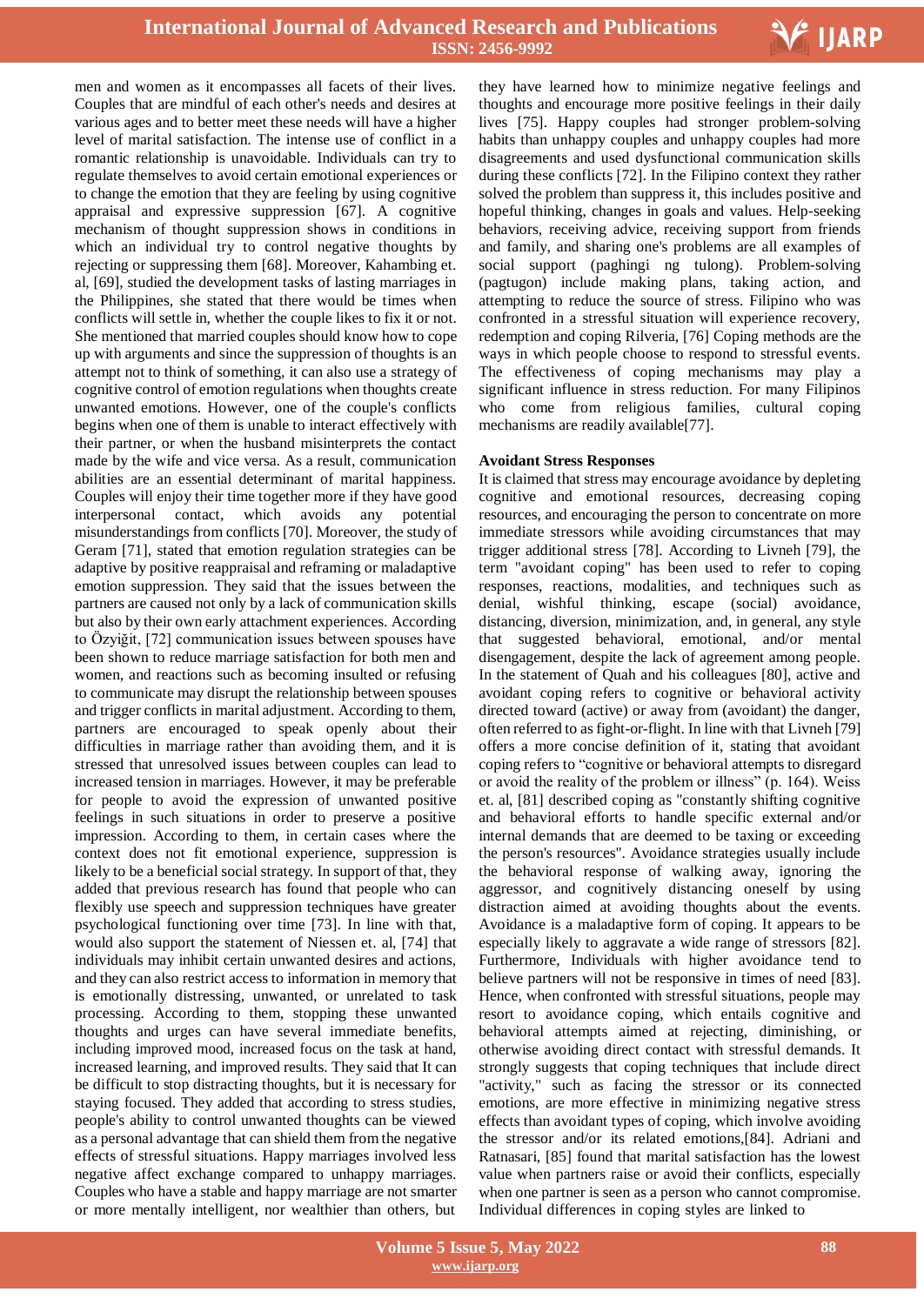

men and women as it encompasses all facets of their lives. Couples that are mindful of each other's needs and desires at various ages and to better meet these needs will have a higher level of marital satisfaction. The intense use of conflict in a romantic relationship is unavoidable. Individuals can try to regulate themselves to avoid certain emotional experiences or to change the emotion that they are feeling by using cognitive appraisal and expressive suppression [67]. A cognitive mechanism of thought suppression shows in conditions in which an individual try to control negative thoughts by rejecting or suppressing them [68]. Moreover, Kahambing et. al, [69], studied the development tasks of lasting marriages in the Philippines, she stated that there would be times when conflicts will settle in, whether the couple likes to fix it or not. She mentioned that married couples should know how to cope up with arguments and since the suppression of thoughts is an attempt not to think of something, it can also use a strategy of cognitive control of emotion regulations when thoughts create unwanted emotions. However, one of the couple's conflicts begins when one of them is unable to interact effectively with their partner, or when the husband misinterprets the contact made by the wife and vice versa. As a result, communication abilities are an essential determinant of marital happiness. Couples will enjoy their time together more if they have good interpersonal contact, which avoids any potential misunderstandings from conflicts [70]. Moreover, the study of Geram [71], stated that emotion regulation strategies can be adaptive by positive reappraisal and reframing or maladaptive emotion suppression. They said that the issues between the partners are caused not only by a lack of communication skills but also by their own early attachment experiences. According to Özyiğit, [72] communication issues between spouses have been shown to reduce marriage satisfaction for both men and women, and reactions such as becoming insulted or refusing to communicate may disrupt the relationship between spouses and trigger conflicts in marital adjustment. According to them, partners are encouraged to speak openly about their difficulties in marriage rather than avoiding them, and it is stressed that unresolved issues between couples can lead to increased tension in marriages. However, it may be preferable for people to avoid the expression of unwanted positive feelings in such situations in order to preserve a positive impression. According to them, in certain cases where the context does not fit emotional experience, suppression is likely to be a beneficial social strategy. In support of that, they added that previous research has found that people who can flexibly use speech and suppression techniques have greater psychological functioning over time [73]. In line with that, would also support the statement of Niessen et. al, [74] that individuals may inhibit certain unwanted desires and actions, and they can also restrict accessto information in memory that is emotionally distressing, unwanted, or unrelated to task processing. According to them, stopping these unwanted thoughts and urges can have several immediate benefits, including improved mood, increased focus on the task at hand, increased learning, and improved results. They said that It can be difficult to stop distracting thoughts, but it is necessary for staying focused. They added that according to stress studies, people's ability to control unwanted thoughts can be viewed as a personal advantage that can shield them from the negative effects of stressful situations. Happy marriages involved less negative affect exchange compared to unhappy marriages. Couples who have a stable and happy marriage are not smarter or more mentally intelligent, nor wealthier than others, but

 they have learned how to minimize negative feelings and thoughts and encourage more positive feelings in their daily lives [75]. Happy couples had stronger problem-solving habits than unhappy couples and unhappy couples had more disagreements and used dysfunctional communication skills during these conflicts [72]. In the Filipino context they rather solved the problem than suppress it, this includes positive and hopeful thinking, changes in goals and values. Help-seeking behaviors, receiving advice, receiving support from friends and family, and sharing one's problems are all examples of social support (paghingi ng tulong). Problem-solving (pagtugon) include making plans, taking action, and attempting to reduce the source of stress. Filipino who was confronted in a stressful situation will experience recovery, redemption and coping Rilveria, [76] Coping methods are the ways in which people choose to respond to stressful events. The effectiveness of coping mechanisms may play a significant influence in stress reduction. For many Filipinos who come from religious families, cultural coping mechanisms are readily available[77].

#### **Avoidant Stress Responses**

It is claimed that stress may encourage avoidance by depleting cognitive and emotional resources, decreasing coping resources, and encouraging the person to concentrate on more immediate stressors while avoiding circumstances that may trigger additional stress [78]. According to Livneh [79], the term "avoidant coping" has been used to refer to coping responses, reactions, modalities, and techniques such as denial, wishful thinking, escape (social) avoidance, distancing, diversion, minimization, and, in general, any style that suggested behavioral, emotional, and/or mental disengagement, despite the lack of agreement among people. In the statement of Quah and his colleagues [80], active and avoidant coping refers to cognitive or behavioral activity directed toward (active) or away from (avoidant) the danger, often referred to asfight-or-flight. In line with that Livneh [79] offers a more concise definition of it, stating that avoidant coping refers to "cognitive or behavioral attempts to disregard or avoid the reality of the problem or illness" (p. 164). Weiss et. al, [81] described coping as "constantly shifting cognitive and behavioral efforts to handle specific external and/or internal demands that are deemed to be taxing or exceeding the person's resources". Avoidance strategies usually include the behavioral response of walking away, ignoring the aggressor, and cognitively distancing oneself by using distraction aimed at avoiding thoughts about the events. Avoidance is a maladaptive form of coping. It appears to be especially likely to aggravate a wide range of stressors [82]. Furthermore, Individuals with higher avoidance tend to believe partners will not be responsive in times of need [83]. Hence, when confronted with stressful situations, people may resort to avoidance coping, which entails cognitive and behavioral attempts aimed at rejecting, diminishing, or otherwise avoiding direct contact with stressful demands. It strongly suggests that coping techniques that include direct "activity," such as facing the stressor or its connected emotions, are more effective in minimizing negative stress effects than avoidant types of coping, which involve avoiding the stressor and/or its related emotions,[84]. Adriani and Ratnasari, [85] found that marital satisfaction has the lowest value when partners raise or avoid their conflicts, especially when one partner is seen as a person who cannot compromise. Individual differences in coping styles are linked to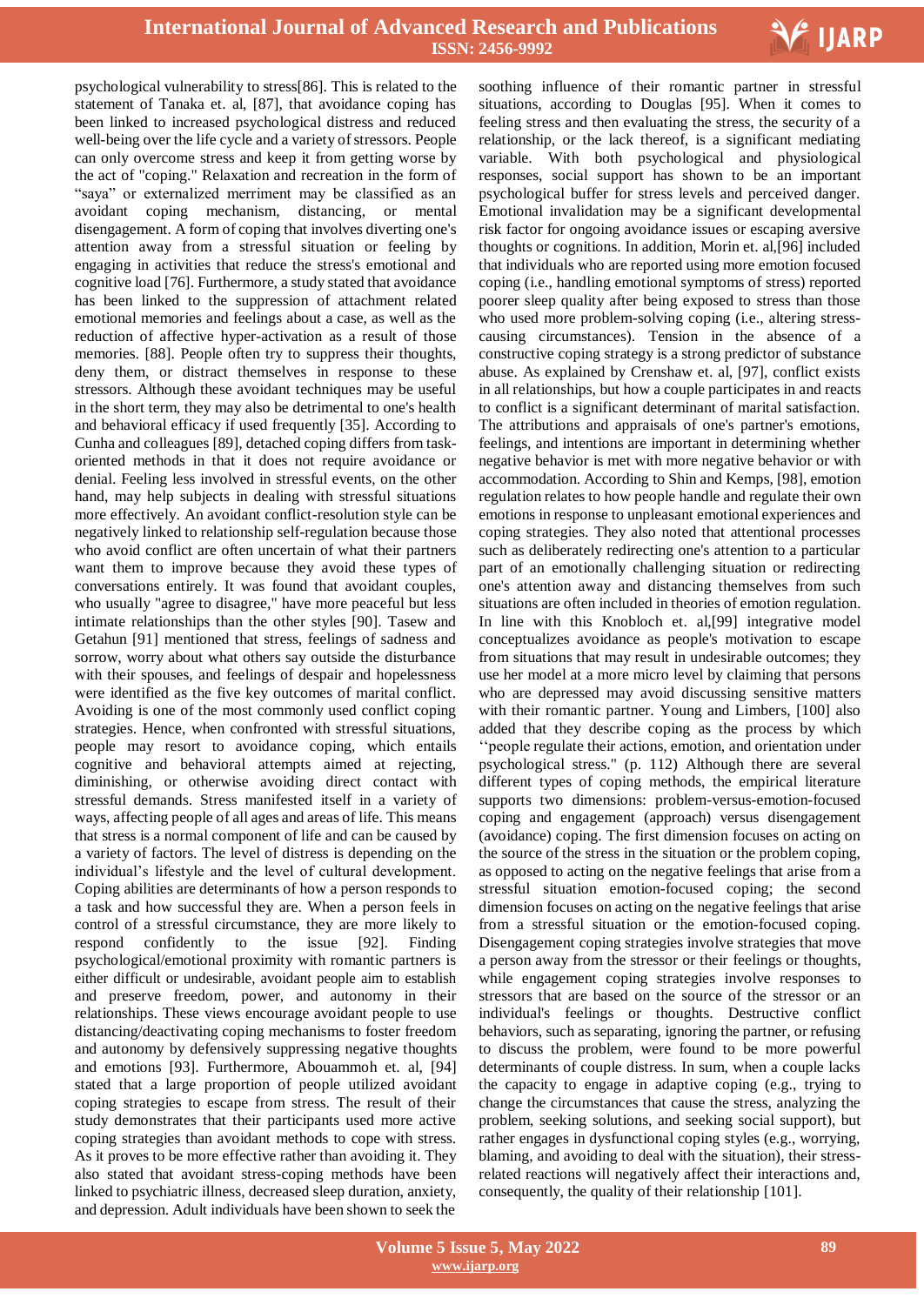

psychological vulnerability to stress[86]. This is related to the statement of Tanaka et. al, [87], that avoidance coping has been linked to increased psychological distress and reduced well-being over the life cycle and a variety of stressors. People can only overcome stress and keep it from getting worse by the act of "coping." Relaxation and recreation in the form of "saya" or externalized merriment may be classified as an avoidant coping mechanism, distancing, or mental disengagement. A form of coping that involves diverting one's attention away from a stressful situation or feeling by engaging in activities that reduce the stress's emotional and cognitive load [76]. Furthermore, a study stated that avoidance has been linked to the suppression of attachment related emotional memories and feelings about a case, as well as the reduction of affective hyper-activation as a result of those memories. [88]. People often try to suppress their thoughts, deny them, or distract themselves in response to these stressors. Although these avoidant techniques may be useful in the short term, they may also be detrimental to one's health and behavioral efficacy if used frequently [35]. According to Cunha and colleagues [89], detached coping differs from taskoriented methods in that it does not require avoidance or denial. Feeling less involved in stressful events, on the other hand, may help subjects in dealing with stressful situations more effectively. An avoidant conflict-resolution style can be negatively linked to relationship self-regulation because those who avoid conflict are often uncertain of what their partners want them to improve because they avoid these types of conversations entirely. It was found that avoidant couples, who usually "agree to disagree," have more peaceful but less intimate relationships than the other styles [90]. Tasew and Getahun [91] mentioned that stress, feelings of sadness and sorrow, worry about what others say outside the disturbance with their spouses, and feelings of despair and hopelessness were identified as the five key outcomes of marital conflict. Avoiding is one of the most commonly used conflict coping strategies. Hence, when confronted with stressful situations, people may resort to avoidance coping, which entails cognitive and behavioral attempts aimed at rejecting, diminishing, or otherwise avoiding direct contact with stressful demands. Stress manifested itself in a variety of ways, affecting people of all ages and areas of life. This means that stress is a normal component of life and can be caused by a variety of factors. The level of distress is depending on the individual"s lifestyle and the level of cultural development. Coping abilities are determinants of how a person responds to a task and how successful they are. When a person feels in control of a stressful circumstance, they are more likely to respond confidently to the issue [92]. Finding psychological/emotional proximity with romantic partners is either difficult or undesirable, avoidant people aim to establish and preserve freedom, power, and autonomy in their relationships. These views encourage avoidant people to use distancing/deactivating coping mechanisms to foster freedom and autonomy by defensively suppressing negative thoughts and emotions [93]. Furthermore, Abouammoh et. al, [94] stated that a large proportion of people utilized avoidant coping strategies to escape from stress. The result of their study demonstrates that their participants used more active coping strategies than avoidant methods to cope with stress. As it proves to be more effective rather than avoiding it. They also stated that avoidant stress-coping methods have been linked to psychiatric illness, decreased sleep duration, anxiety, and depression. Adult individuals have been shown to seek the

 soothing influence of their romantic partner in stressful situations, according to Douglas [95]. When it comes to feeling stress and then evaluating the stress, the security of a relationship, or the lack thereof, is a significant mediating variable. With both psychological and physiological responses, social support has shown to be an important psychological buffer for stress levels and perceived danger. Emotional invalidation may be a significant developmental risk factor for ongoing avoidance issues or escaping aversive thoughts or cognitions. In addition, Morin et. al,[96] included that individuals who are reported using more emotion focused coping (i.e., handling emotional symptoms of stress) reported poorer sleep quality after being exposed to stress than those who used more problem-solving coping (i.e., altering stresscausing circumstances). Tension in the absence of a constructive coping strategy is a strong predictor of substance abuse. As explained by Crenshaw et. al, [97], conflict exists in all relationships, but how a couple participates in and reacts to conflict is a significant determinant of marital satisfaction. The attributions and appraisals of one's partner's emotions, feelings, and intentions are important in determining whether negative behavior is met with more negative behavior or with accommodation. According to Shin and Kemps, [98], emotion regulation relates to how people handle and regulate their own emotions in response to unpleasant emotional experiences and coping strategies. They also noted that attentional processes such as deliberately redirecting one's attention to a particular part of an emotionally challenging situation or redirecting one's attention away and distancing themselves from such situations are often included in theories of emotion regulation. In line with this Knobloch et. al,[99] integrative model conceptualizes avoidance as people's motivation to escape from situations that may result in undesirable outcomes; they use her model at a more micro level by claiming that persons who are depressed may avoid discussing sensitive matters with their romantic partner. Young and Limbers, [100] also added that they describe coping as the process by which "people regulate their actions, emotion, and orientation under psychological stress." (p. 112) Although there are several different types of coping methods, the empirical literature supports two dimensions: problem-versus-emotion-focused coping and engagement (approach) versus disengagement (avoidance) coping. The first dimension focuses on acting on the source of the stress in the situation or the problem coping, as opposed to acting on the negative feelings that arise from a stressful situation emotion-focused coping; the second dimension focuses on acting on the negative feelings that arise from a stressful situation or the emotion-focused coping. Disengagement coping strategies involve strategies that move a person away from the stressor or their feelings or thoughts, while engagement coping strategies involve responses to stressors that are based on the source of the stressor or an individual's feelings or thoughts. Destructive conflict behaviors, such as separating, ignoring the partner, or refusing to discuss the problem, were found to be more powerful determinants of couple distress. In sum, when a couple lacks the capacity to engage in adaptive coping (e.g., trying to change the circumstances that cause the stress, analyzing the problem, seeking solutions, and seeking social support), but rather engages in dysfunctional coping styles (e.g., worrying, blaming, and avoiding to deal with the situation), their stressrelated reactions will negatively affect their interactions and, consequently, the quality of their relationship [101].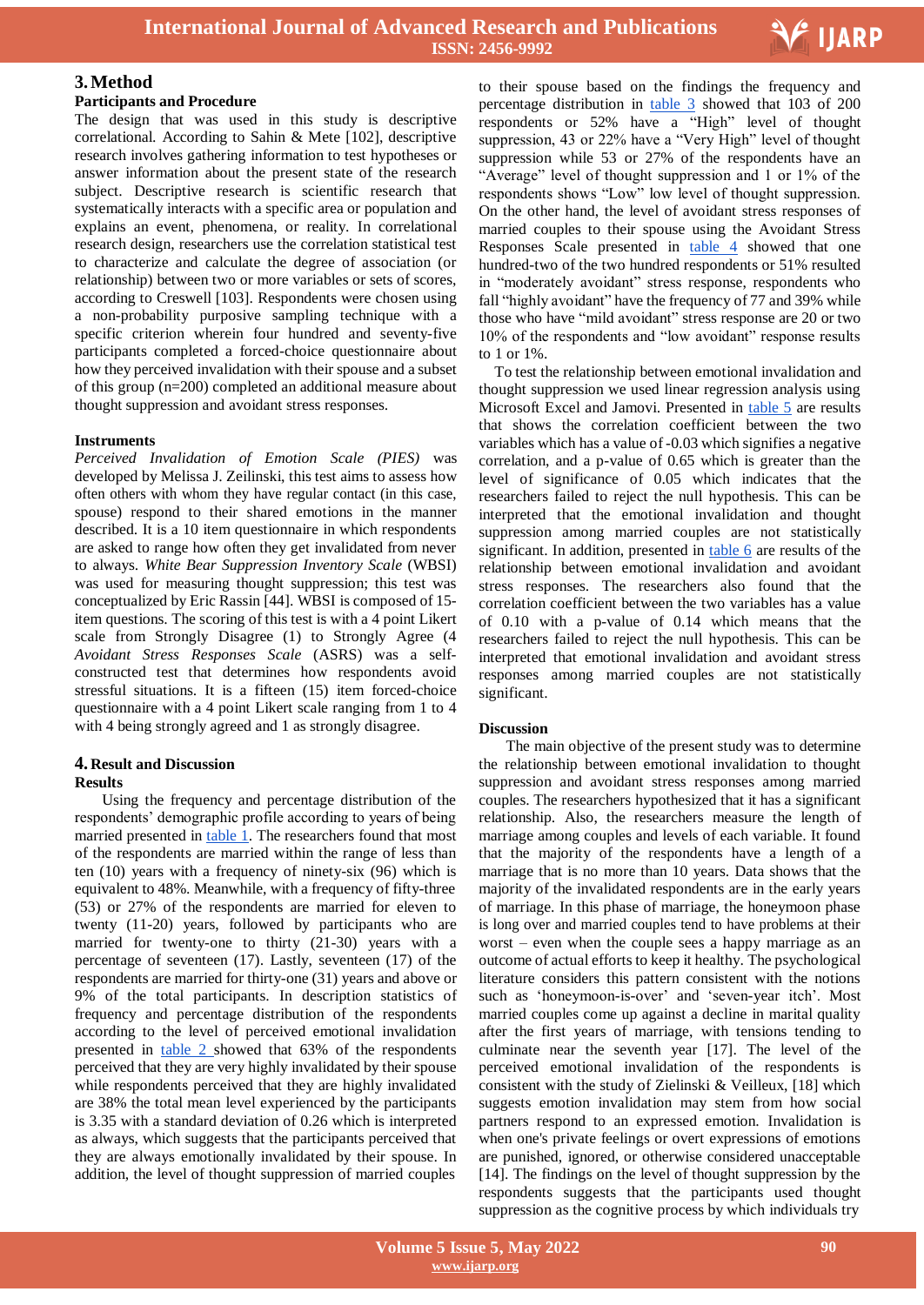

## **3.Method**

#### **Participants and Procedure**

The design that was used in this study is descriptive correlational. According to Sahin & Mete [102], descriptive research involves gathering information to test hypotheses or answer information about the present state of the research subject. Descriptive research is scientific research that systematically interacts with a specific area or population and explains an event, phenomena, or reality. In correlational research design, researchers use the correlation statistical test to characterize and calculate the degree of association (or relationship) between two or more variables or sets of scores, according to Creswell [103]. Respondents were chosen using a non-probability purposive sampling technique with a specific criterion wherein four hundred and seventy-five participants completed a forced-choice questionnaire about how they perceived invalidation with their spouse and a subset of this group (n=200) completed an additional measure about thought suppression and avoidant stress responses.

#### **Instruments**

*Perceived Invalidation of Emotion Scale (PIES)* was developed by Melissa J. Zeilinski, this test aims to assess how often others with whom they have regular contact (in this case, spouse) respond to their shared emotions in the manner described. It is a 10 item questionnaire in which respondents are asked to range how often they get invalidated from never to always. *White Bear Suppression Inventory Scale* (WBSI) was used for measuring thought suppression; this test was conceptualized by Eric Rassin [44]. WBSI is composed of 15 item questions. The scoring of this test is with a 4 point Likert scale from Strongly Disagree (1) to Strongly Agree (4 *Avoidant Stress Responses Scale* (ASRS) was a selfconstructed test that determines how respondents avoid stressful situations. It is a fifteen (15) item forced-choice questionnaire with a 4 point Likert scale ranging from 1 to 4 with 4 being strongly agreed and 1 as strongly disagree.

# **4. Result and Discussion**

#### **Results**

Using the frequency and percentage distribution of the respondents" demographic profile according to years of being married presented in table 1. The researchers found that most of the respondents are married within the range of less than ten (10) years with a frequency of ninety-six (96) which is equivalent to 48%. Meanwhile, with a frequency of fifty-three (53) or 27% of the respondents are married for eleven to twenty (11-20) years, followed by participants who are married for twenty-one to thirty (21-30) years with a percentage of seventeen (17). Lastly, seventeen (17) of the respondents are married for thirty-one (31) years and above or 9% of the total participants. In description statistics of frequency and percentage distribution of the respondents according to the level of perceived emotional invalidation presented in table 2 showed that 63% of the respondents perceived that they are very highly invalidated by their spouse while respondents perceived that they are highly invalidated are 38% the total mean level experienced by the participants is 3.35 with a standard deviation of 0.26 which is interpreted as always, which suggests that the participants perceived that they are always emotionally invalidated by their spouse. In addition, the level of thought suppression of married couples

 to their spouse based on the findings the frequency and percentage distribution in table 3 showed that 103 of 200 respondents or 52% have a "High" level of thought suppression, 43 or 22% have a "Very High" level of thought suppression while 53 or 27% of the respondents have an "Average" level of thought suppression and 1 or 1% of the respondents shows "Low" low level of thought suppression. On the other hand, the level of avoidant stress responses of married couples to their spouse using the Avoidant Stress Responses Scale presented in table 4 showed that one hundred-two of the two hundred respondents or 51% resulted in "moderately avoidant" stress response, respondents who fall "highly avoidant" have the frequency of 77 and 39% while those who have "mild avoidant" stress response are 20 or two 10% of the respondents and "low avoidant" response results to 1 or 1%.

To test the relationship between emotional invalidation and thought suppression we used linear regression analysis using Microsoft Excel and Jamovi. Presented in table 5 are results that shows the correlation coefficient between the two variables which has a value of -0.03 which signifies a negative correlation, and a p-value of 0.65 which is greater than the level of significance of 0.05 which indicates that the researchers failed to reject the null hypothesis. This can be interpreted that the emotional invalidation and thought suppression among married couples are not statistically significant. In addition, presented in table 6 are results of the relationship between emotional invalidation and avoidant stress responses. The researchers also found that the correlation coefficient between the two variables has a value of 0.10 with a p-value of 0.14 which means that the researchers failed to reject the null hypothesis. This can be interpreted that emotional invalidation and avoidant stress responses among married couples are not statistically significant.

#### **Discussion**

The main objective of the present study was to determine the relationship between emotional invalidation to thought suppression and avoidant stress responses among married couples. The researchers hypothesized that it has a significant relationship. Also, the researchers measure the length of marriage among couples and levels of each variable. It found that the majority of the respondents have a length of a marriage that is no more than 10 years. Data shows that the majority of the invalidated respondents are in the early years of marriage. In this phase of marriage, the honeymoon phase is long over and married couples tend to have problems at their worst – even when the couple sees a happy marriage as an outcome of actual efforts to keep it healthy. The psychological literature considers this pattern consistent with the notions such as 'honeymoon-is-over' and 'seven-year itch'. Most married couples come up against a decline in marital quality after the first years of marriage, with tensions tending to culminate near the seventh year [17]. The level of the perceived emotional invalidation of the respondents is consistent with the study of Zielinski & Veilleux, [18] which suggests emotion invalidation may stem from how social partners respond to an expressed emotion. Invalidation is when one's private feelings or overt expressions of emotions are punished, ignored, or otherwise considered unacceptable [14]. The findings on the level of thought suppression by the respondents suggests that the participants used thought suppression as the cognitive process by which individuals try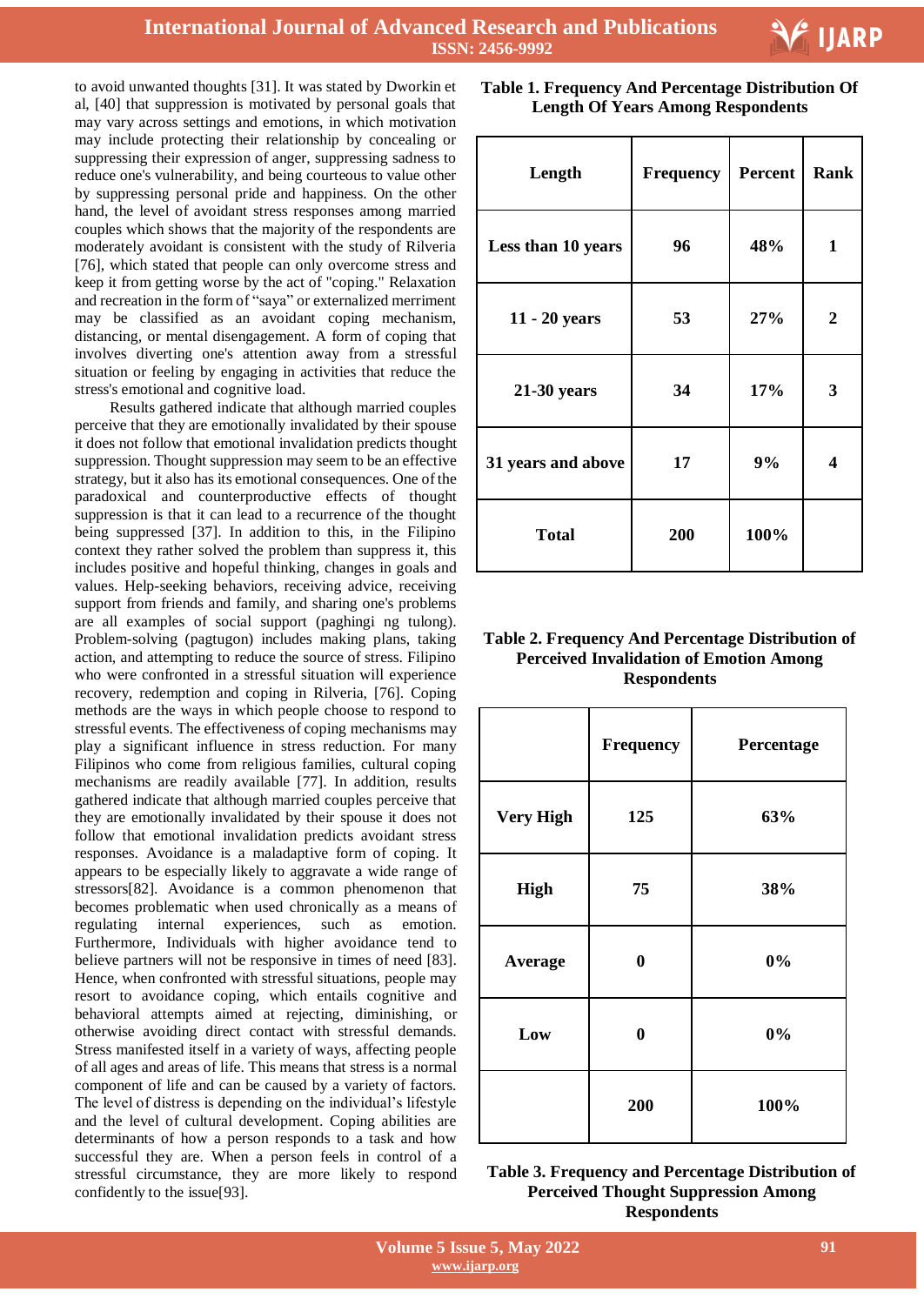

to avoid unwanted thoughts [31]. It was stated by Dworkin et al, [40] that suppression is motivated by personal goals that may vary across settings and emotions, in which motivation may include protecting their relationship by concealing or suppressing their expression of anger, suppressing sadness to reduce one's vulnerability, and being courteous to value other by suppressing personal pride and happiness. On the other hand, the level of avoidant stress responses among married couples which shows that the majority of the respondents are moderately avoidant is consistent with the study of Rilveria [76], which stated that people can only overcome stress and keep it from getting worse by the act of "coping." Relaxation and recreation in the form of "saya" or externalized merriment may be classified as an avoidant coping mechanism, distancing, or mental disengagement. A form of coping that involves diverting one's attention away from a stressful situation or feeling by engaging in activities that reduce the stress's emotional and cognitive load.

Results gathered indicate that although married couples perceive that they are emotionally invalidated by their spouse it does not follow that emotional invalidation predicts thought suppression. Thought suppression may seem to be an effective strategy, but it also has its emotional consequences. One of the paradoxical and counterproductive effects of thought suppression is that it can lead to a recurrence of the thought being suppressed [37]. In addition to this, in the Filipino context they rather solved the problem than suppress it, this includes positive and hopeful thinking, changes in goals and values. Help-seeking behaviors, receiving advice, receiving support from friends and family, and sharing one's problems are all examples of social support (paghingi ng tulong). Problem-solving (pagtugon) includes making plans, taking action, and attempting to reduce the source of stress. Filipino who were confronted in a stressful situation will experience recovery, redemption and coping in Rilveria, [76]. Coping methods are the ways in which people choose to respond to stressful events. The effectiveness of coping mechanisms may play a significant influence in stress reduction. For many Filipinos who come from religious families, cultural coping mechanisms are readily available [77]. In addition, results gathered indicate that although married couples perceive that they are emotionally invalidated by their spouse it does not follow that emotional invalidation predicts avoidant stress responses. Avoidance is a maladaptive form of coping. It appears to be especially likely to aggravate a wide range of stressors[82]. Avoidance is a common phenomenon that becomes problematic when used chronically as a means of regulating internal experiences, such as emotion. Furthermore, Individuals with higher avoidance tend to believe partners will not be responsive in times of need [83]. Hence, when confronted with stressful situations, people may resort to avoidance coping, which entails cognitive and behavioral attempts aimed at rejecting, diminishing, or otherwise avoiding direct contact with stressful demands. Stress manifested itself in a variety of ways, affecting people of all ages and areas of life. This means that stress is a normal component of life and can be caused by a variety of factors. The level of distress is depending on the individual"s lifestyle and the level of cultural development. Coping abilities are determinants of how a person responds to a task and how successful they are. When a person feels in control of a stressful circumstance, they are more likely to respond confidently to the issue[93].

 **Table 1. Frequency And Percentage Distribution Of Length Of Years Among Respondents**

| Length             | Frequency | <b>Percent</b> | Rank           |
|--------------------|-----------|----------------|----------------|
| Less than 10 years | 96        | 48%            | 1              |
| 11 - 20 years      | 53        | 27%            | $\overline{2}$ |
| $21-30$ years      | 34        | 17%            | 3              |
| 31 years and above | 17        | 9%             | 4              |
| <b>Total</b>       | 200       | 100%           |                |

# **Table 2. Frequency And Percentage Distribution of Perceived Invalidation of Emotion Among Respondents**

|                  | Frequency        | Percentage |
|------------------|------------------|------------|
| <b>Very High</b> | 125              | 63%        |
| <b>High</b>      | 75               | 38%        |
| Average          | $\boldsymbol{0}$ | $0\%$      |
| Low              | $\bf{0}$         | 0%         |
|                  | 200              | 100%       |

| Table 3. Frequency and Percentage Distribution of |
|---------------------------------------------------|
| <b>Perceived Thought Suppression Among</b>        |
| <b>Respondents</b>                                |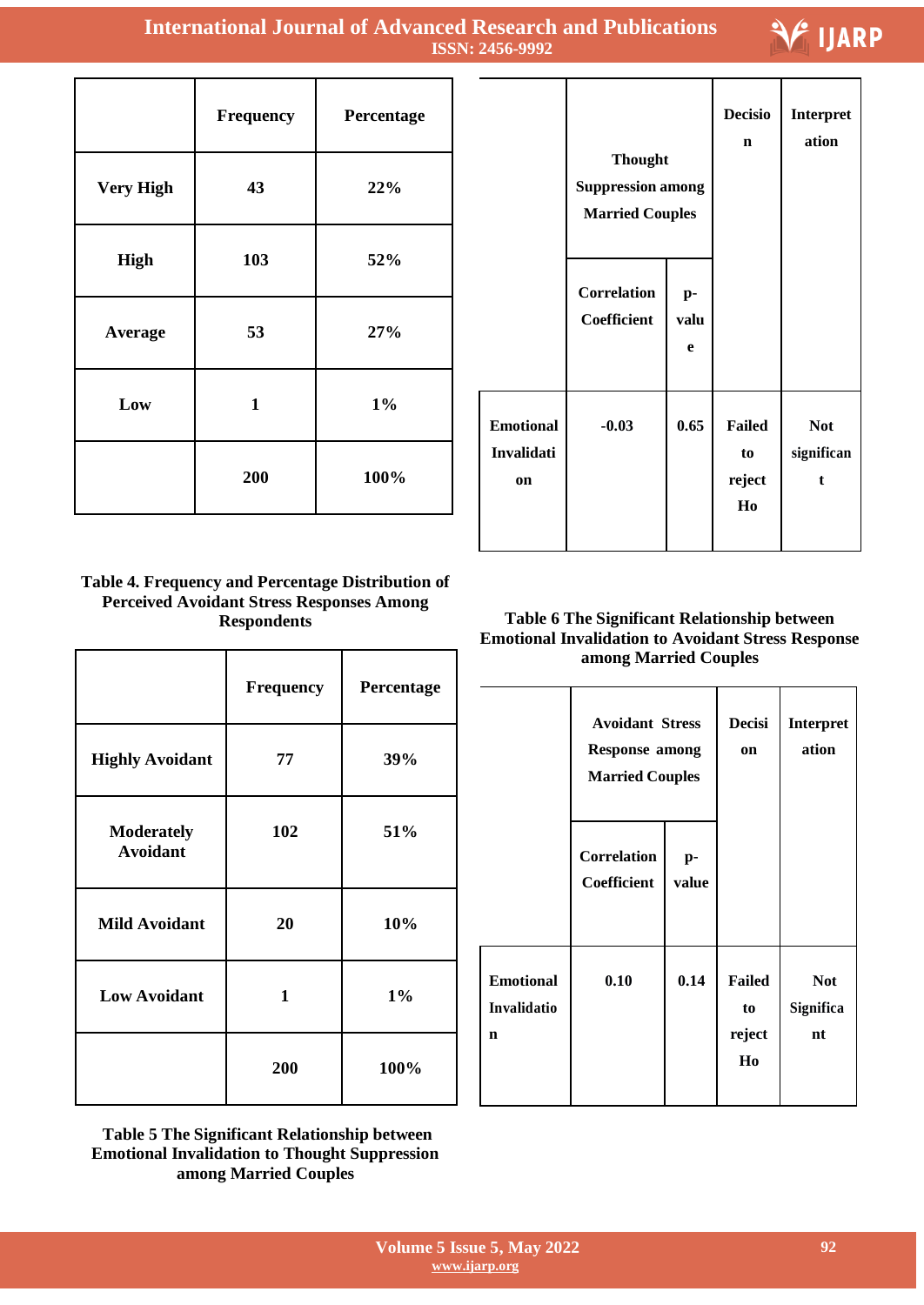T

|                  | Frequency    | Percentage |
|------------------|--------------|------------|
| <b>Very High</b> | 43           | 22%        |
| High             | 103          | 52%        |
| Average          | 53           | 27%        |
| Low              | $\mathbf{1}$ | $1\%$      |
|                  | 200          | 100%       |

|                                             | <b>Thought</b><br><b>Suppression among</b><br><b>Married Couples</b> |                 | <b>Decisio</b><br>$\mathbf n$       | Interpret<br>ation                       |
|---------------------------------------------|----------------------------------------------------------------------|-----------------|-------------------------------------|------------------------------------------|
|                                             | <b>Correlation</b><br>Coefficient                                    | p-<br>valu<br>e |                                     |                                          |
| <b>Emotional</b><br>Invalidati<br><b>on</b> | $-0.03$                                                              | 0.65            | <b>Failed</b><br>to<br>reject<br>Ho | <b>Not</b><br>significan<br>$\mathbf{f}$ |

I

Т

Τ

**IJARP** 

٦

# **Table 4. Frequency and Percentage Distribution of Perceived Avoidant Stress Responses Among Respondents**

|                                      | Frequency    | Percentage |
|--------------------------------------|--------------|------------|
| <b>Highly Avoidant</b>               | 77           | 39%        |
| <b>Moderately</b><br><b>Avoidant</b> | 102          | 51%        |
| <b>Mild Avoidant</b>                 | 20           | 10%        |
| <b>Low Avoidant</b>                  | $\mathbf{1}$ | $1\%$      |
|                                      | 200          | 100%       |

**Table 5 The Significant Relationship between Emotional Invalidation to Thought Suppression among Married Couples**

# **Table 6 The Significant Relationship between Emotional Invalidation to Avoidant Stress Response among Married Couples**

|                                      | <b>Avoidant Stress</b><br><b>Response among</b><br><b>Married Couples</b> |             | <b>Decisi</b><br>on                 | <b>Interpret</b><br>ation     |
|--------------------------------------|---------------------------------------------------------------------------|-------------|-------------------------------------|-------------------------------|
|                                      | <b>Correlation</b><br>Coefficient                                         | p-<br>value |                                     |                               |
| <b>Emotional</b><br>Invalidatio<br>n | 0.10                                                                      | 0.14        | <b>Failed</b><br>to<br>reject<br>Ho | <b>Not</b><br>Significa<br>nt |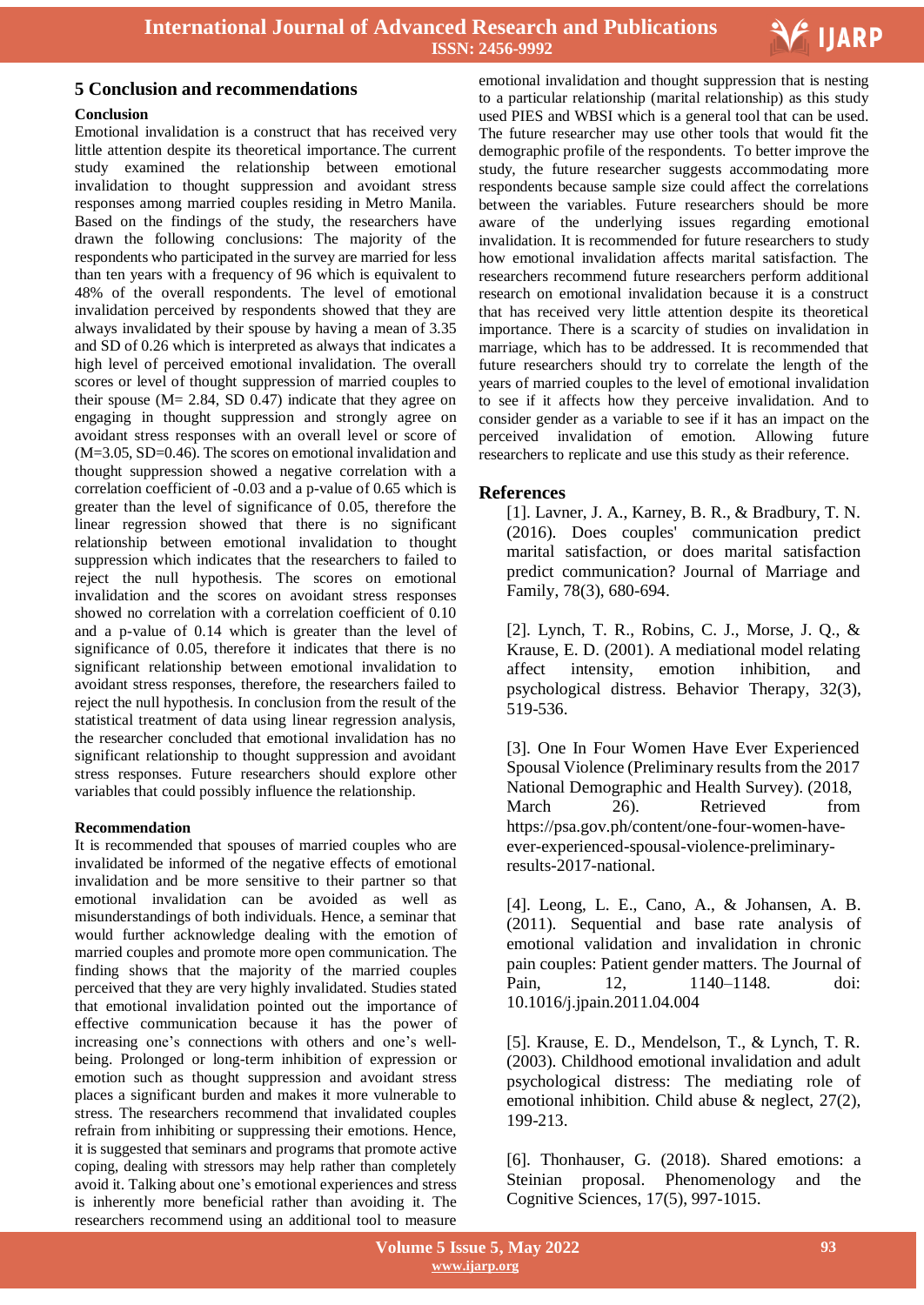

### **Conclusion**

Emotional invalidation is a construct that has received very little attention despite its theoretical importance. The current study examined the relationship between emotional invalidation to thought suppression and avoidant stress responses among married couples residing in Metro Manila. Based on the findings of the study, the researchers have drawn the following conclusions: The majority of the respondents who participated in the survey are married for less than ten years with a frequency of 96 which is equivalent to 48% of the overall respondents. The level of emotional invalidation perceived by respondents showed that they are always invalidated by their spouse by having a mean of 3.35 and SD of 0.26 which is interpreted as always that indicates a high level of perceived emotional invalidation. The overall scores or level of thought suppression of married couples to their spouse ( $M = 2.84$ , SD 0.47) indicate that they agree on engaging in thought suppression and strongly agree on avoidant stress responses with an overall level or score of  $(M=3.05, SD=0.46)$ . The scores on emotional invalidation and thought suppression showed a negative correlation with a correlation coefficient of -0.03 and a p-value of 0.65 which is greater than the level of significance of 0.05, therefore the linear regression showed that there is no significant relationship between emotional invalidation to thought suppression which indicates that the researchers to failed to reject the null hypothesis. The scores on emotional invalidation and the scores on avoidant stress responses showed no correlation with a correlation coefficient of 0.10 and a p-value of 0.14 which is greater than the level of significance of 0.05, therefore it indicates that there is no significant relationship between emotional invalidation to avoidant stress responses, therefore, the researchers failed to reject the null hypothesis. In conclusion from the result of the statistical treatment of data using linear regression analysis, the researcher concluded that emotional invalidation has no significant relationship to thought suppression and avoidant stress responses. Future researchers should explore other variables that could possibly influence the relationship.

### **Recommendation**

It is recommended that spouses of married couples who are invalidated be informed of the negative effects of emotional invalidation and be more sensitive to their partner so that emotional invalidation can be avoided as well as misunderstandings of both individuals. Hence, a seminar that would further acknowledge dealing with the emotion of married couples and promote more open communication. The finding shows that the majority of the married couples perceived that they are very highly invalidated. Studies stated that emotional invalidation pointed out the importance of effective communication because it has the power of increasing one"s connections with others and one"s wellbeing. Prolonged or long-term inhibition of expression or emotion such as thought suppression and avoidant stress places a significant burden and makes it more vulnerable to stress. The researchers recommend that invalidated couples refrain from inhibiting or suppressing their emotions. Hence, it is suggested that seminars and programs that promote active coping, dealing with stressors may help rather than completely avoid it. Talking about one"s emotional experiences and stress is inherently more beneficial rather than avoiding it. The researchers recommend using an additional tool to measure

**5 Conclusion and recommendations**<br> **Example 20 Conclusion and <b>recommendations**<br> **Example 20 Conclusions Example 20 Conclusions Example 20 Conclusions Conclusions Example 20 Conclusions Example 20 Co** to a particular relationship (marital relationship) as this study used PIES and WBSI which is a general tool that can be used. The future researcher may use other tools that would fit the demographic profile of the respondents. To better improve the study, the future researcher suggests accommodating more respondents because sample size could affect the correlations between the variables. Future researchers should be more aware of the underlying issues regarding emotional invalidation. It is recommended for future researchers to study how emotional invalidation affects marital satisfaction. The researchers recommend future researchers perform additional research on emotional invalidation because it is a construct that has received very little attention despite its theoretical importance. There is a scarcity of studies on invalidation in marriage, which has to be addressed. It is recommended that future researchers should try to correlate the length of the years of married couples to the level of emotional invalidation to see if it affects how they perceive invalidation. And to consider gender as a variable to see if it has an impact on the perceived invalidation of emotion. Allowing future researchers to replicate and use this study as their reference.

# **References**

[1]. Lavner, J. A., Karney, B. R., & Bradbury, T. N. (2016). Does couples' communication predict marital satisfaction, or does marital satisfaction predict communication? Journal of Marriage and Family, 78(3), 680-694.

[2]. Lynch, T. R., Robins, C. J., Morse, J. Q., & Krause, E. D. (2001). A mediational model relating affect intensity, emotion inhibition, and psychological distress. Behavior Therapy, 32(3), 519-536.

[3]. One In Four Women Have Ever Experienced Spousal Violence (Preliminary results from the 2017 National Demographic and Health Survey). (2018, March 26). Retrieved from https://psa.gov.ph/content/one-four-women-haveever-experienced-spousal-violence-preliminaryresults-2017-national.

[4]. Leong, L. E., Cano, A., & Johansen, A. B. (2011). Sequential and base rate analysis of emotional validation and invalidation in chronic pain couples: Patient gender matters. The Journal of Pain, 12, 1140–1148. doi: 10.1016/j.jpain.2011.04.004

[5]. Krause, E. D., Mendelson, T., & Lynch, T. R. (2003). Childhood emotional invalidation and adult psychological distress: The mediating role of emotional inhibition. Child abuse & neglect, 27(2), 199-213.

[6]. Thonhauser, G. (2018). Shared emotions: a Steinian proposal. Phenomenology and the Cognitive Sciences, 17(5), 997-1015.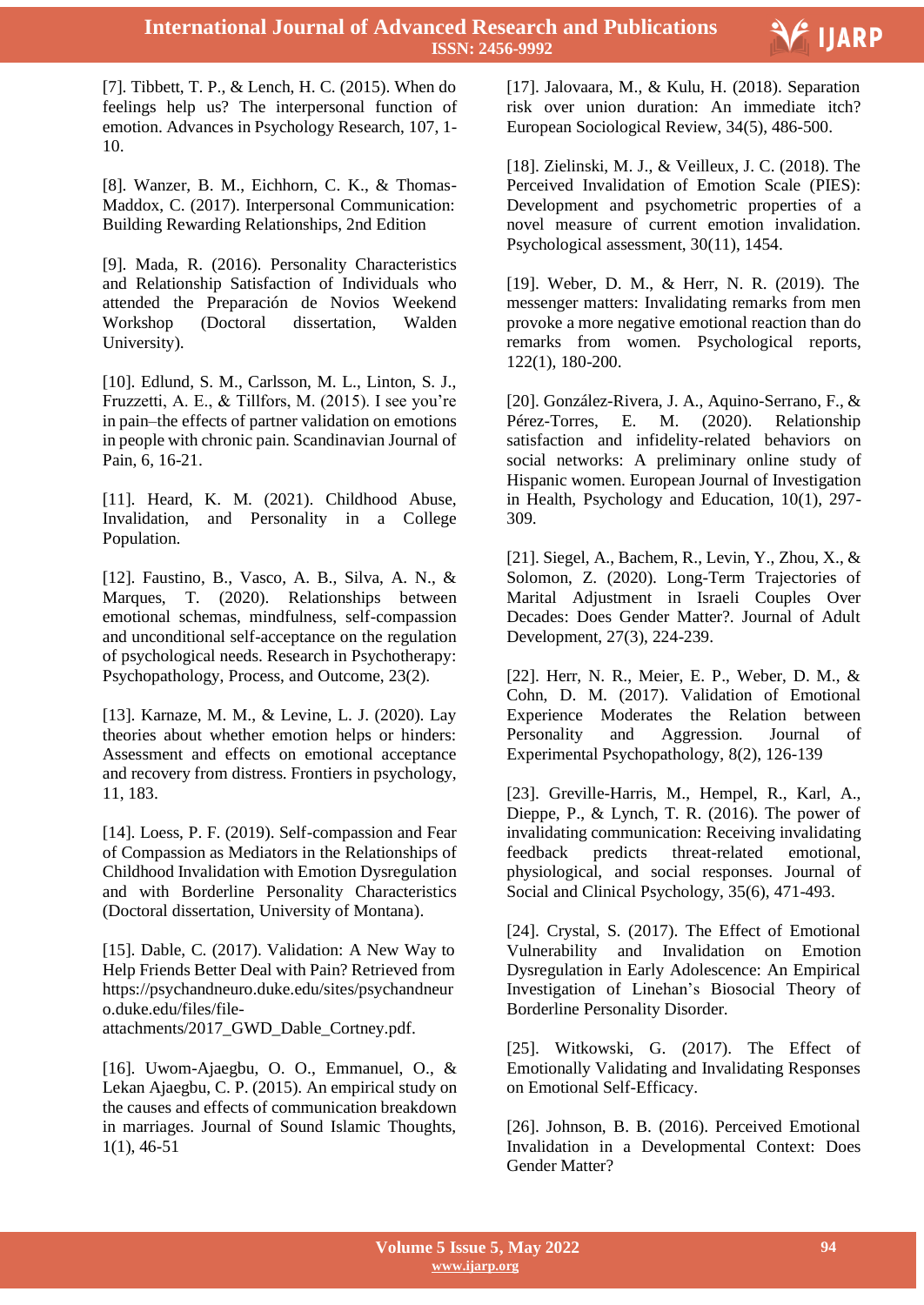

 [7]. Tibbett, T. P., & Lench, H. C. (2015). When do feelings help us? The interpersonal function of emotion. Advances in Psychology Research, 107, 1- 10.

[8]. Wanzer, B. M., Eichhorn, C. K., & Thomas-Maddox, C. (2017). Interpersonal Communication: Building Rewarding Relationships, 2nd Edition

[9]. Mada, R. (2016). Personality Characteristics and Relationship Satisfaction of Individuals who attended the Preparación de Novios Weekend Workshop (Doctoral dissertation, Walden University).

[10]. Edlund, S. M., Carlsson, M. L., Linton, S. J., Fruzzetti, A. E., & Tillfors, M. (2015). I see you"re in pain–the effects of partner validation on emotions in people with chronic pain. Scandinavian Journal of Pain, 6, 16-21.

[11]. Heard, K. M. (2021). Childhood Abuse, Invalidation, and Personality in a College Population.

[12]. Faustino, B., Vasco, A. B., Silva, A. N., & Marques, T. (2020). Relationships between emotional schemas, mindfulness, self-compassion and unconditional self-acceptance on the regulation of psychological needs. Research in Psychotherapy: Psychopathology, Process, and Outcome, 23(2).

[13]. Karnaze, M. M., & Levine, L. J. (2020). Lay theories about whether emotion helps or hinders: Assessment and effects on emotional acceptance and recovery from distress. Frontiers in psychology, 11, 183.

[14]. Loess, P. F. (2019). Self-compassion and Fear of Compassion as Mediators in the Relationships of Childhood Invalidation with Emotion Dysregulation and with Borderline Personality Characteristics (Doctoral dissertation, University of Montana).

[15]. Dable, C. (2017). Validation: A New Way to Help Friends Better Deal with Pain? Retrieved from https://psychandneuro.duke.edu/sites/psychandneur o.duke.edu/files/fileattachments/2017\_GWD\_Dable\_Cortney.pdf.

[16]. Uwom-Ajaegbu, O. O., Emmanuel, O., & Lekan Ajaegbu, C. P. (2015). An empirical study on the causes and effects of communication breakdown in marriages. Journal of Sound Islamic Thoughts, 1(1), 46-51

[17]. Jalovaara, M., & Kulu, H. (2018). Separation risk over union duration: An immediate itch? European Sociological Review, 34(5), 486-500.

[18]. Zielinski, M. J., & Veilleux, J. C. (2018). The Perceived Invalidation of Emotion Scale (PIES): Development and psychometric properties of a novel measure of current emotion invalidation. Psychological assessment, 30(11), 1454.

[19]. Weber, D. M., & Herr, N. R. (2019). The messenger matters: Invalidating remarks from men provoke a more negative emotional reaction than do remarks from women. Psychological reports, 122(1), 180-200.

[20]. González-Rivera, J. A., Aquino-Serrano, F., & Pérez-Torres, E. M. (2020). Relationship Pérez-Torres, E. M. (2020). Relationship satisfaction and infidelity-related behaviors on social networks: A preliminary online study of Hispanic women. European Journal of Investigation in Health, Psychology and Education, 10(1), 297- 309.

[21]. Siegel, A., Bachem, R., Levin, Y., Zhou, X., & Solomon, Z. (2020). Long-Term Trajectories of Marital Adjustment in Israeli Couples Over Decades: Does Gender Matter?. Journal of Adult Development, 27(3), 224-239.

[22]. Herr, N. R., Meier, E. P., Weber, D. M., & Cohn, D. M. (2017). Validation of Emotional Experience Moderates the Relation between Personality and Aggression. Journal of Experimental Psychopathology, 8(2), 126-139

[23]. Greville-Harris, M., Hempel, R., Karl, A., Dieppe, P., & Lynch, T. R. (2016). The power of invalidating communication: Receiving invalidating feedback predicts threat-related emotional, physiological, and social responses. Journal of Social and Clinical Psychology, 35(6), 471-493.

[24]. Crystal, S. (2017). The Effect of Emotional Vulnerability and Invalidation on Emotion Dysregulation in Early Adolescence: An Empirical Investigation of Linehan"s Biosocial Theory of Borderline Personality Disorder.

[25]. Witkowski, G. (2017). The Effect of Emotionally Validating and Invalidating Responses on Emotional Self-Efficacy.

[26]. Johnson, B. B. (2016). Perceived Emotional Invalidation in a Developmental Context: Does Gender Matter?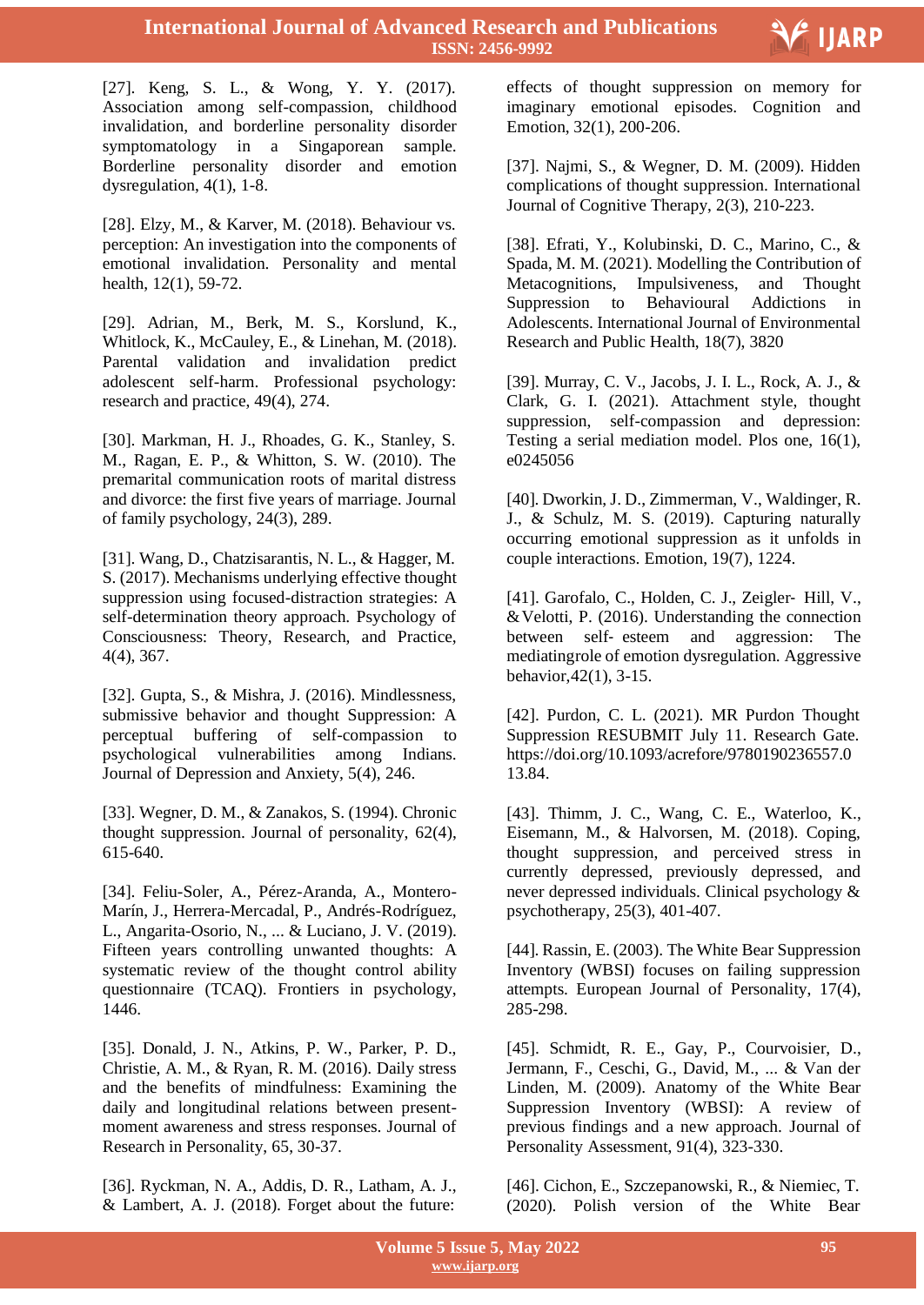

 [27]. Keng, S. L., & Wong, Y. Y. (2017). Association among self-compassion, childhood invalidation, and borderline personality disorder symptomatology in a Singaporean sample. Borderline personality disorder and emotion dysregulation, 4(1), 1-8.

[28]. Elzy, M., & Karver, M. (2018). Behaviour vs. perception: An investigation into the components of emotional invalidation. Personality and mental health, 12(1), 59-72.

[29]. Adrian, M., Berk, M. S., Korslund, K., Whitlock, K., McCauley, E., & Linehan, M. (2018). Parental validation and invalidation predict adolescent self-harm. Professional psychology: research and practice, 49(4), 274.

[30]. Markman, H. J., Rhoades, G. K., Stanley, S. M., Ragan, E. P., & Whitton, S. W. (2010). The premarital communication roots of marital distress and divorce: the first five years of marriage. Journal of family psychology, 24(3), 289.

[31]. Wang, D., Chatzisarantis, N. L., & Hagger, M. S. (2017). Mechanisms underlying effective thought suppression using focused-distraction strategies: A self-determination theory approach. Psychology of Consciousness: Theory, Research, and Practice, 4(4), 367.

[32]. Gupta, S., & Mishra, J. (2016). Mindlessness, submissive behavior and thought Suppression: A perceptual buffering of self-compassion to psychological vulnerabilities among Indians. Journal of Depression and Anxiety, 5(4), 246.

[33]. Wegner, D. M., & Zanakos, S. (1994). Chronic thought suppression. Journal of personality, 62(4), 615-640.

[34]. Feliu-Soler, A., Pérez-Aranda, A., Montero-Marín, J., Herrera-Mercadal, P., Andrés-Rodríguez, L., Angarita-Osorio, N., ... & Luciano, J. V. (2019). Fifteen years controlling unwanted thoughts: A systematic review of the thought control ability questionnaire (TCAQ). Frontiers in psychology, 1446.

[35]. Donald, J. N., Atkins, P. W., Parker, P. D., Christie, A. M., & Ryan, R. M. (2016). Daily stress and the benefits of mindfulness: Examining the daily and longitudinal relations between presentmoment awareness and stress responses. Journal of Research in Personality, 65, 30-37.

[36]. Ryckman, N. A., Addis, D. R., Latham, A. J., & Lambert, A. J. (2018). Forget about the future:

effects of thought suppression on memory for imaginary emotional episodes. Cognition and Emotion, 32(1), 200-206.

[37]. Najmi, S., & Wegner, D. M. (2009). Hidden complications of thought suppression. International Journal of Cognitive Therapy, 2(3), 210-223.

[38]. Efrati, Y., Kolubinski, D. C., Marino, C., & Spada, M. M. (2021). Modelling the Contribution of Metacognitions, Impulsiveness, and Thought Suppression to Behavioural Addictions in Adolescents. International Journal of Environmental Research and Public Health, 18(7), 3820

[39]. Murray, C. V., Jacobs, J. I. L., Rock, A. J., & Clark, G. I. (2021). Attachment style, thought suppression, self-compassion and depression: Testing a serial mediation model. Plos one, 16(1), e0245056

[40]. Dworkin, J. D., Zimmerman, V., Waldinger, R. J., & Schulz, M. S. (2019). Capturing naturally occurring emotional suppression as it unfolds in couple interactions. Emotion, 19(7), 1224.

[41]. Garofalo, C., Holden, C. J., Zeigler‐ Hill, V., &Velotti, P. (2016). Understanding the connection between self‐ esteem and aggression: The mediatingrole of emotion dysregulation. Aggressive behavior,42(1), 3-15.

[42]. Purdon, C. L. (2021). MR Purdon Thought Suppression RESUBMIT July 11. Research Gate. https://doi.org/10.1093/acrefore/9780190236557.0 13.84.

[43]. Thimm, J. C., Wang, C. E., Waterloo, K., Eisemann, M., & Halvorsen, M. (2018). Coping, thought suppression, and perceived stress in currently depressed, previously depressed, and never depressed individuals. Clinical psychology & psychotherapy, 25(3), 401-407.

[44]. Rassin, E. (2003). The White Bear Suppression Inventory (WBSI) focuses on failing suppression attempts. European Journal of Personality, 17(4), 285-298.

[45]. Schmidt, R. E., Gay, P., Courvoisier, D., Jermann, F., Ceschi, G., David, M., ... & Van der Linden, M. (2009). Anatomy of the White Bear Suppression Inventory (WBSI): A review of previous findings and a new approach. Journal of Personality Assessment, 91(4), 323-330.

[46]. Cichon, E., Szczepanowski, R., & Niemiec, T. (2020). Polish version of the White Bear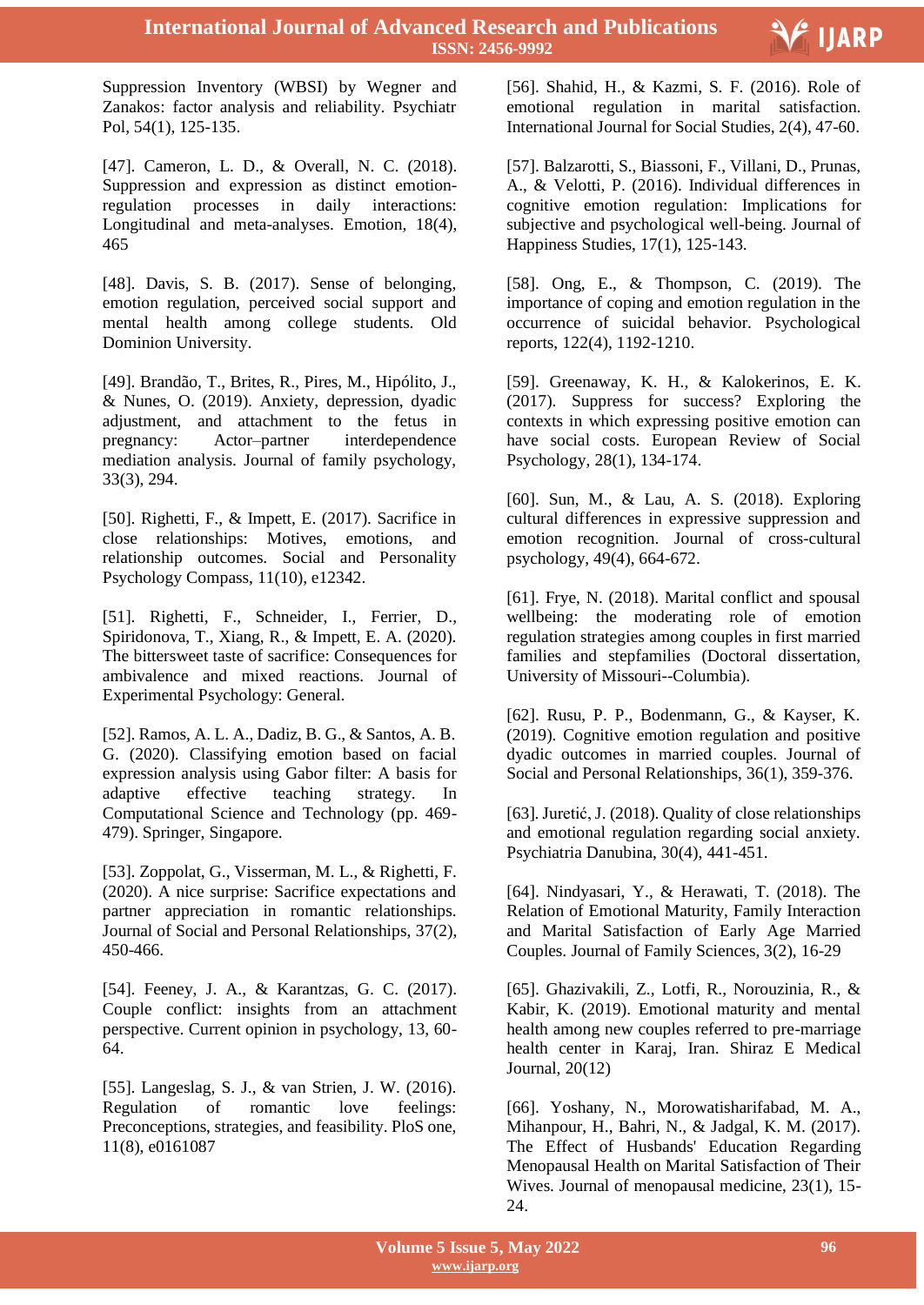

 Suppression Inventory (WBSI) by Wegner and Zanakos: factor analysis and reliability. Psychiatr Pol, 54(1), 125-135.

[47]. Cameron, L. D., & Overall, N. C. (2018). Suppression and expression as distinct emotionregulation processes in daily interactions: Longitudinal and meta-analyses. Emotion, 18(4), 465

[48]. Davis, S. B. (2017). Sense of belonging, emotion regulation, perceived social support and mental health among college students. Old Dominion University.

[49]. Brandão, T., Brites, R., Pires, M., Hipólito, J., & Nunes, O. (2019). Anxiety, depression, dyadic adjustment, and attachment to the fetus in pregnancy: Actor–partner interdependence mediation analysis. Journal of family psychology, 33(3), 294.

[50]. Righetti, F., & Impett, E. (2017). Sacrifice in close relationships: Motives, emotions, and relationship outcomes. Social and Personality Psychology Compass, 11(10), e12342.

[51]. Righetti, F., Schneider, I., Ferrier, D., Spiridonova, T., Xiang, R., & Impett, E. A. (2020). The bittersweet taste of sacrifice: Consequences for ambivalence and mixed reactions. Journal of Experimental Psychology: General.

[52]. Ramos, A. L. A., Dadiz, B. G., & Santos, A. B. G. (2020). Classifying emotion based on facial expression analysis using Gabor filter: A basis for adaptive effective teaching strategy. In Computational Science and Technology (pp. 469- 479). Springer, Singapore.

[53]. Zoppolat, G., Visserman, M. L., & Righetti, F. (2020). A nice surprise: Sacrifice expectations and partner appreciation in romantic relationships. Journal of Social and Personal Relationships, 37(2), 450-466.

[54]. Feeney, J. A., & Karantzas, G. C. (2017). Couple conflict: insights from an attachment perspective. Current opinion in psychology, 13, 60- 64.

[55]. Langeslag, S. J., & van Strien, J. W. (2016). Regulation of romantic love feelings: Preconceptions, strategies, and feasibility. PloS one, 11(8), e0161087

[56]. Shahid, H., & Kazmi, S. F. (2016). Role of emotional regulation in marital satisfaction. International Journal for Social Studies, 2(4), 47-60.

[57]. Balzarotti, S., Biassoni, F., Villani, D., Prunas, A., & Velotti, P. (2016). Individual differences in cognitive emotion regulation: Implications for subjective and psychological well-being. Journal of Happiness Studies, 17(1), 125-143.

[58]. Ong, E., & Thompson, C. (2019). The importance of coping and emotion regulation in the occurrence of suicidal behavior. Psychological reports, 122(4), 1192-1210.

[59]. Greenaway, K. H., & Kalokerinos, E. K. (2017). Suppress for success? Exploring the contexts in which expressing positive emotion can have social costs. European Review of Social Psychology, 28(1), 134-174.

[60]. Sun, M., & Lau, A. S. (2018). Exploring cultural differences in expressive suppression and emotion recognition. Journal of cross-cultural psychology, 49(4), 664-672.

[61]. Frye, N. (2018). Marital conflict and spousal wellbeing: the moderating role of emotion regulation strategies among couples in first married families and stepfamilies (Doctoral dissertation, University of Missouri--Columbia).

[62]. Rusu, P. P., Bodenmann, G., & Kayser, K. (2019). Cognitive emotion regulation and positive dyadic outcomes in married couples. Journal of Social and Personal Relationships, 36(1), 359-376.

[63]. Juretić, J. (2018). Quality of close relationships and emotional regulation regarding social anxiety. Psychiatria Danubina, 30(4), 441-451.

[64]. Nindyasari, Y., & Herawati, T. (2018). The Relation of Emotional Maturity, Family Interaction and Marital Satisfaction of Early Age Married Couples. Journal of Family Sciences, 3(2), 16-29

[65]. Ghazivakili, Z., Lotfi, R., Norouzinia, R., & Kabir, K. (2019). Emotional maturity and mental health among new couples referred to pre-marriage health center in Karaj, Iran. Shiraz E Medical Journal, 20(12)

[66]. Yoshany, N., Morowatisharifabad, M. A., Mihanpour, H., Bahri, N., & Jadgal, K. M. (2017). The Effect of Husbands' Education Regarding Menopausal Health on Marital Satisfaction of Their Wives. Journal of menopausal medicine, 23(1), 15- 24.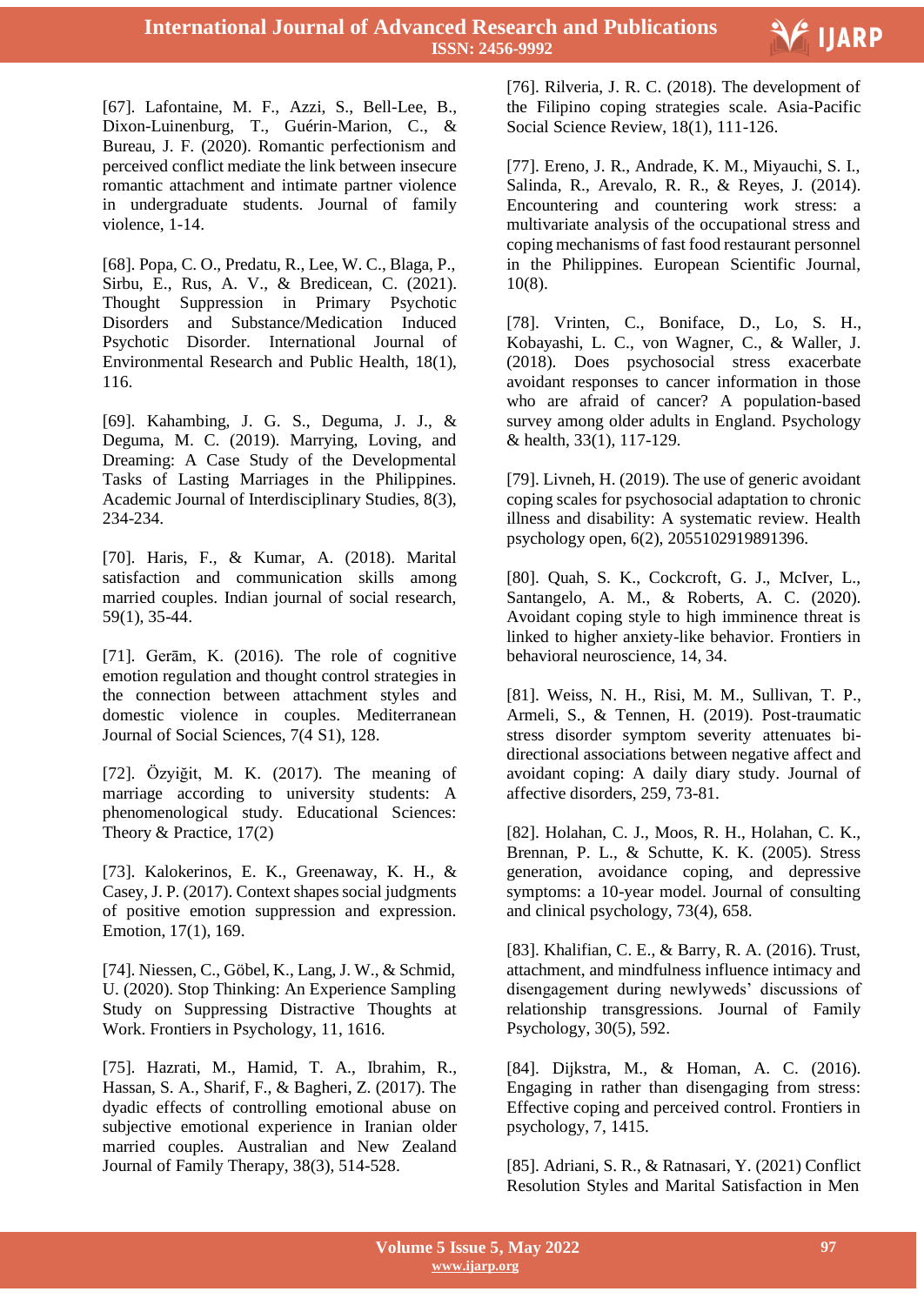

[67]. Lafontaine, M. F., Azzi, S., Bell-Lee, B., Dixon-Luinenburg, T., Guérin-Marion, C., & Bureau, J. F. (2020). Romantic perfectionism and perceived conflict mediate the link between insecure romantic attachment and intimate partner violence in undergraduate students. Journal of family violence, 1-14.

[68]. Popa, C. O., Predatu, R., Lee, W. C., Blaga, P., Sirbu, E., Rus, A. V., & Bredicean, C. (2021). Thought Suppression in Primary Psychotic Disorders and Substance/Medication Induced Psychotic Disorder. International Journal of Environmental Research and Public Health, 18(1), 116.

[69]. Kahambing, J. G. S., Deguma, J. J., & Deguma, M. C. (2019). Marrying, Loving, and Dreaming: A Case Study of the Developmental Tasks of Lasting Marriages in the Philippines. Academic Journal of Interdisciplinary Studies, 8(3), 234-234.

[70]. Haris, F., & Kumar, A. (2018). Marital satisfaction and communication skills among married couples. Indian journal of social research, 59(1), 35-44.

[71]. Gerām, K. (2016). The role of cognitive emotion regulation and thought control strategies in the connection between attachment styles and domestic violence in couples. Mediterranean Journal of Social Sciences, 7(4 S1), 128.

[72]. Özyiğit, M. K. (2017). The meaning of marriage according to university students: A phenomenological study. Educational Sciences: Theory & Practice, 17(2)

[73]. Kalokerinos, E. K., Greenaway, K. H., & Casey, J. P. (2017). Context shapes social judgments of positive emotion suppression and expression. Emotion, 17(1), 169.

[74]. Niessen, C., Göbel, K., Lang, J. W., & Schmid, U. (2020). Stop Thinking: An Experience Sampling Study on Suppressing Distractive Thoughts at Work. Frontiers in Psychology, 11, 1616.

[75]. Hazrati, M., Hamid, T. A., Ibrahim, R., Hassan, S. A., Sharif, F., & Bagheri, Z. (2017). The dyadic effects of controlling emotional abuse on subjective emotional experience in Iranian older married couples. Australian and New Zealand Journal of Family Therapy, 38(3), 514-528.

 [76]. Rilveria, J. R. C. (2018). The development of the Filipino coping strategies scale. Asia-Pacific Social Science Review, 18(1), 111-126.

[77]. Ereno, J. R., Andrade, K. M., Miyauchi, S. I., Salinda, R., Arevalo, R. R., & Reyes, J. (2014). Encountering and countering work stress: a multivariate analysis of the occupational stress and coping mechanisms of fast food restaurant personnel in the Philippines. European Scientific Journal, 10(8).

[78]. Vrinten, C., Boniface, D., Lo, S. H., Kobayashi, L. C., von Wagner, C., & Waller, J. (2018). Does psychosocial stress exacerbate avoidant responses to cancer information in those who are afraid of cancer? A population-based survey among older adults in England. Psychology & health, 33(1), 117-129.

[79]. Livneh, H. (2019). The use of generic avoidant coping scales for psychosocial adaptation to chronic illness and disability: A systematic review. Health psychology open, 6(2), 2055102919891396.

[80]. Quah, S. K., Cockcroft, G. J., McIver, L., Santangelo, A. M., & Roberts, A. C. (2020). Avoidant coping style to high imminence threat is linked to higher anxiety-like behavior. Frontiers in behavioral neuroscience, 14, 34.

[81]. Weiss, N. H., Risi, M. M., Sullivan, T. P., Armeli, S., & Tennen, H. (2019). Post-traumatic stress disorder symptom severity attenuates bidirectional associations between negative affect and avoidant coping: A daily diary study. Journal of affective disorders, 259, 73-81.

[82]. Holahan, C. J., Moos, R. H., Holahan, C. K., Brennan, P. L., & Schutte, K. K. (2005). Stress generation, avoidance coping, and depressive symptoms: a 10-year model. Journal of consulting and clinical psychology, 73(4), 658.

[83]. Khalifian, C. E., & Barry, R. A. (2016). Trust, attachment, and mindfulness influence intimacy and disengagement during newlyweds" discussions of relationship transgressions. Journal of Family Psychology, 30(5), 592.

[84]. Dijkstra, M., & Homan, A. C. (2016). Engaging in rather than disengaging from stress: Effective coping and perceived control. Frontiers in psychology, 7, 1415.

[85]. Adriani, S. R., & Ratnasari, Y. (2021) Conflict Resolution Styles and Marital Satisfaction in Men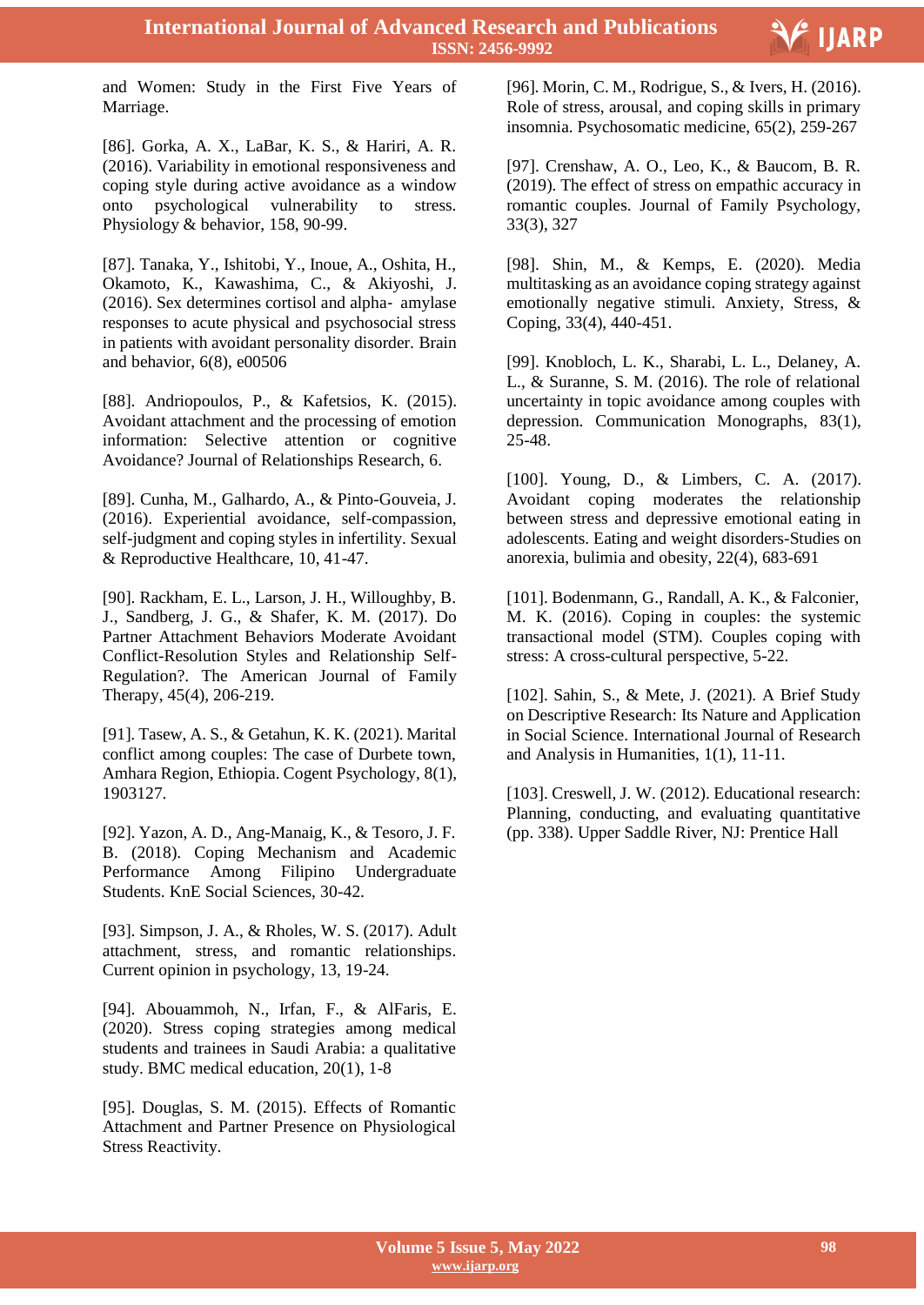

 and Women: Study in the First Five Years of Marriage.

[86]. Gorka, A. X., LaBar, K. S., & Hariri, A. R. (2016). Variability in emotional responsiveness and coping style during active avoidance as a window onto psychological vulnerability to stress. Physiology & behavior, 158, 90-99.

[87]. Tanaka, Y., Ishitobi, Y., Inoue, A., Oshita, H., Okamoto, K., Kawashima, C., & Akiyoshi, J. (2016). Sex determines cortisol and alpha‐ amylase responses to acute physical and psychosocial stress in patients with avoidant personality disorder. Brain and behavior, 6(8), e00506

[88]. Andriopoulos, P., & Kafetsios, K. (2015). Avoidant attachment and the processing of emotion information: Selective attention or cognitive Avoidance? Journal of Relationships Research, 6.

[89]. Cunha, M., Galhardo, A., & Pinto-Gouveia, J. (2016). Experiential avoidance, self-compassion, self-judgment and coping styles in infertility. Sexual & Reproductive Healthcare, 10, 41-47.

[90]. Rackham, E. L., Larson, J. H., Willoughby, B. J., Sandberg, J. G., & Shafer, K. M. (2017). Do Partner Attachment Behaviors Moderate Avoidant Conflict-Resolution Styles and Relationship Self-Regulation?. The American Journal of Family Therapy, 45(4), 206-219.

[91]. Tasew, A. S., & Getahun, K. K. (2021). Marital conflict among couples: The case of Durbete town, Amhara Region, Ethiopia. Cogent Psychology, 8(1), 1903127.

[92]. Yazon, A. D., Ang-Manaig, K., & Tesoro, J. F. B. (2018). Coping Mechanism and Academic Performance Among Filipino Undergraduate Students. KnE Social Sciences, 30-42.

[93]. Simpson, J. A., & Rholes, W. S. (2017). Adult attachment, stress, and romantic relationships. Current opinion in psychology, 13, 19-24.

[94]. Abouammoh, N., Irfan, F., & AlFaris, E. (2020). Stress coping strategies among medical students and trainees in Saudi Arabia: a qualitative study. BMC medical education, 20(1), 1-8

[95]. Douglas, S. M. (2015). Effects of Romantic Attachment and Partner Presence on Physiological Stress Reactivity.

[96]. Morin, C. M., Rodrigue, S., & Ivers, H. (2016). Role of stress, arousal, and coping skills in primary insomnia. Psychosomatic medicine, 65(2), 259-267

[97]. Crenshaw, A. O., Leo, K., & Baucom, B. R. (2019). The effect of stress on empathic accuracy in romantic couples. Journal of Family Psychology, 33(3), 327

[98]. Shin, M., & Kemps, E. (2020). Media multitasking as an avoidance coping strategy against emotionally negative stimuli. Anxiety, Stress, & Coping, 33(4), 440-451.

[99]. Knobloch, L. K., Sharabi, L. L., Delaney, A. L., & Suranne, S. M. (2016). The role of relational uncertainty in topic avoidance among couples with depression. Communication Monographs, 83(1), 25-48.

[100]. Young, D., & Limbers, C. A. (2017). Avoidant coping moderates the relationship between stress and depressive emotional eating in adolescents. Eating and weight disorders-Studies on anorexia, bulimia and obesity, 22(4), 683-691

[101]. Bodenmann, G., Randall, A. K., & Falconier, M. K. (2016). Coping in couples: the systemic transactional model (STM). Couples coping with stress: A cross-cultural perspective, 5-22.

[102]. Sahin, S., & Mete, J. (2021). A Brief Study on Descriptive Research: Its Nature and Application in Social Science. International Journal of Research and Analysis in Humanities, 1(1), 11-11.

[103]. Creswell, J. W. (2012). Educational research: Planning, conducting, and evaluating quantitative (pp. 338). Upper Saddle River, NJ: Prentice Hall